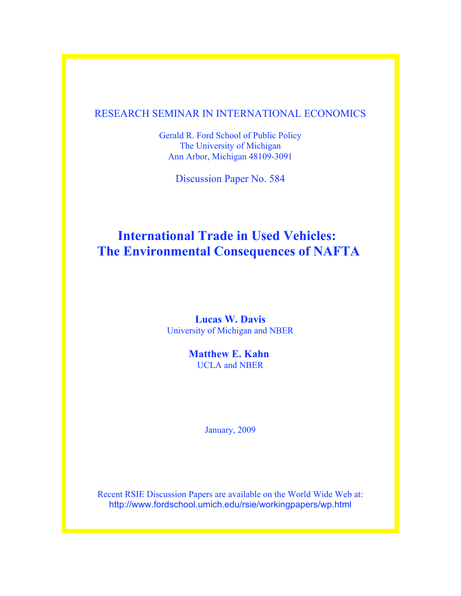# RESEARCH SEMINAR IN INTERNATIONAL ECONOMICS

Gerald R. Ford School of Public Policy The University of Michigan Ann Arbor, Michigan 48109-3091

Discussion Paper No. 584

# **International Trade in Used Vehicles: The Environmental Consequences of NAFTA**

# **Lucas W. Davis** University of Michigan and NBER

**Matthew E. Kahn** UCLA and NBER

January, 2009

Recent RSIE Discussion Papers are available on the World Wide Web at: http://www.fordschool.umich.edu/rsie/workingpapers/wp.html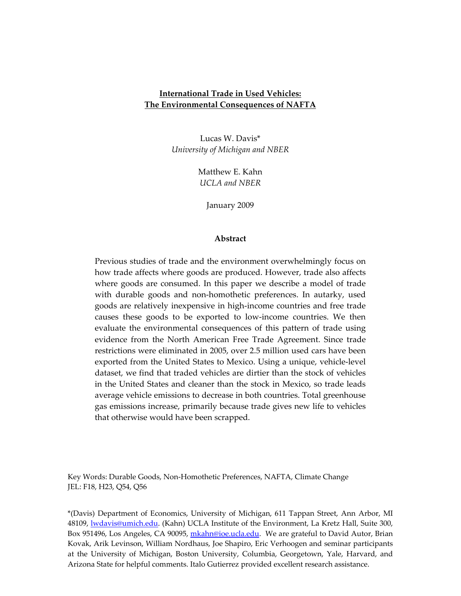## **International Trade in Used Vehicles: The Environmental Consequences of NAFTA**

Lucas W. Davis\* *University of Michigan and NBER*

> Matthew E. Kahn *UCLA and NBER*

> > January 2009

## **Abstract**

Previous studies of trade and the environment overwhelmingly focus on how trade affects where goods are produced. However, trade also affects where goods are consumed. In this paper we describe a model of trade with durable goods and non-homothetic preferences. In autarky, used goods are relatively inexpensive in high‐income countries and free trade causes these goods to be exported to low‐income countries. We then evaluate the environmental consequences of this pattern of trade using evidence from the North American Free Trade Agreement. Since trade restrictions were eliminated in 2005, over 2.5 million used cars have been exported from the United States to Mexico. Using a unique, vehicle‐level dataset, we find that traded vehicles are dirtier than the stock of vehicles in the United States and cleaner than the stock in Mexico, so trade leads average vehicle emissions to decrease in both countries. Total greenhouse gas emissions increase, primarily because trade gives new life to vehicles that otherwise would have been scrapped.

Key Words: Durable Goods, Non‐Homothetic Preferences, NAFTA, Climate Change JEL: F18, H23, Q54, Q56

\*(Davis) Department of Economics, University of Michigan, 611 Tappan Street, Ann Arbor, MI 48109, lwdavis@umich.edu. (Kahn) UCLA Institute of the Environment, La Kretz Hall, Suite 300, Box 951496, Los Angeles, CA 90095, *mkahn@ioe.ucla.edu.* We are grateful to David Autor, Brian Kovak, Arik Levinson, William Nordhaus, Joe Shapiro, Eric Verhoogen and seminar participants at the University of Michigan, Boston University, Columbia, Georgetown, Yale, Harvard, and Arizona State for helpful comments. Italo Gutierrez provided excellent research assistance.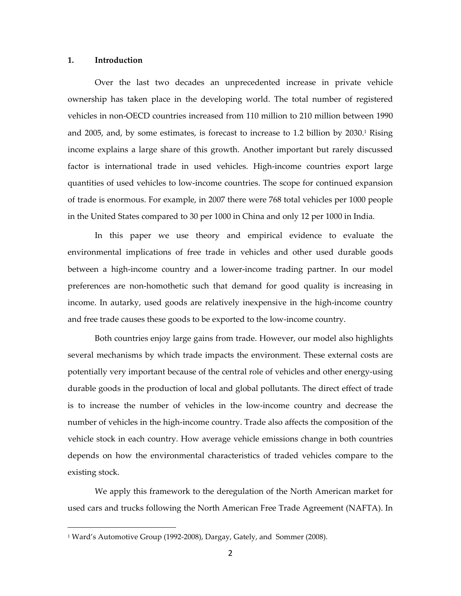### **1. Introduction**

 $\overline{a}$ 

Over the last two decades an unprecedented increase in private vehicle ownership has taken place in the developing world. The total number of registered vehicles in non‐OECD countries increased from 110 million to 210 million between 1990 and 2005, and, by some estimates, is forecast to increase to 1.2 billion by  $2030<sup>1</sup>$  Rising income explains a large share of this growth. Another important but rarely discussed factor is international trade in used vehicles. High-income countries export large quantities of used vehicles to low‐income countries. The scope for continued expansion of trade is enormous. For example, in 2007 there were 768 total vehicles per 1000 people in the United States compared to 30 per 1000 in China and only 12 per 1000 in India.

In this paper we use theory and empirical evidence to evaluate the environmental implications of free trade in vehicles and other used durable goods between a high-income country and a lower-income trading partner. In our model preferences are non‐homothetic such that demand for good quality is increasing in income. In autarky, used goods are relatively inexpensive in the high-income country and free trade causes these goods to be exported to the low‐income country.

Both countries enjoy large gains from trade. However, our model also highlights several mechanisms by which trade impacts the environment. These external costs are potentially very important because of the central role of vehicles and other energy-using durable goods in the production of local and global pollutants. The direct effect of trade is to increase the number of vehicles in the low-income country and decrease the number of vehicles in the high‐income country. Trade also affects the composition of the vehicle stock in each country. How average vehicle emissions change in both countries depends on how the environmental characteristics of traded vehicles compare to the existing stock.

We apply this framework to the deregulation of the North American market for used cars and trucks following the North American Free Trade Agreement (NAFTA). In

<sup>&</sup>lt;sup>1</sup> Ward's Automotive Group (1992-2008), Dargay, Gately, and Sommer (2008).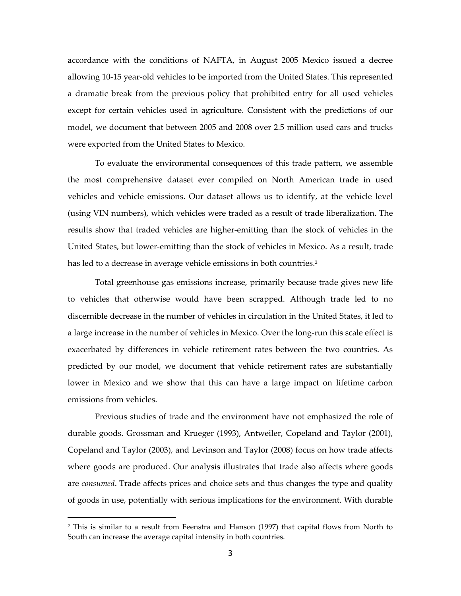accordance with the conditions of NAFTA, in August 2005 Mexico issued a decree allowing 10‐15 year‐old vehicles to be imported from the United States. This represented a dramatic break from the previous policy that prohibited entry for all used vehicles except for certain vehicles used in agriculture. Consistent with the predictions of our model, we document that between 2005 and 2008 over 2.5 million used cars and trucks were exported from the United States to Mexico.

To evaluate the environmental consequences of this trade pattern, we assemble the most comprehensive dataset ever compiled on North American trade in used vehicles and vehicle emissions. Our dataset allows us to identify, at the vehicle level (using VIN numbers), which vehicles were traded as a result of trade liberalization. The results show that traded vehicles are higher‐emitting than the stock of vehicles in the United States, but lower‐emitting than the stock of vehicles in Mexico. As a result, trade has led to a decrease in average vehicle emissions in both countries.<sup>2</sup>

Total greenhouse gas emissions increase, primarily because trade gives new life to vehicles that otherwise would have been scrapped. Although trade led to no discernible decrease in the number of vehicles in circulation in the United States, it led to a large increase in the number of vehicles in Mexico. Over the long-run this scale effect is exacerbated by differences in vehicle retirement rates between the two countries. As predicted by our model, we document that vehicle retirement rates are substantially lower in Mexico and we show that this can have a large impact on lifetime carbon emissions from vehicles.

Previous studies of trade and the environment have not emphasized the role of durable goods. Grossman and Krueger (1993), Antweiler, Copeland and Taylor (2001), Copeland and Taylor (2003), and Levinson and Taylor (2008) focus on how trade affects where goods are produced. Our analysis illustrates that trade also affects where goods are *consumed*. Trade affects prices and choice sets and thus changes the type and quality of goods in use, potentially with serious implications for the environment. With durable

<sup>2</sup> This is similar to a result from Feenstra and Hanson (1997) that capital flows from North to South can increase the average capital intensity in both countries.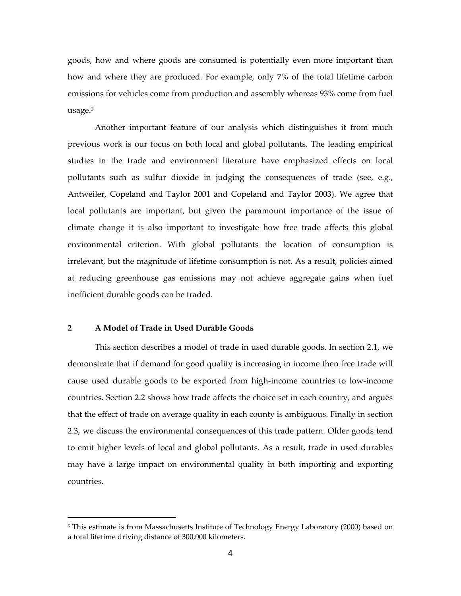goods, how and where goods are consumed is potentially even more important than how and where they are produced. For example, only 7% of the total lifetime carbon emissions for vehicles come from production and assembly whereas 93% come from fuel usage.3

Another important feature of our analysis which distinguishes it from much previous work is our focus on both local and global pollutants. The leading empirical studies in the trade and environment literature have emphasized effects on local pollutants such as sulfur dioxide in judging the consequences of trade (see, e.g., Antweiler, Copeland and Taylor 2001 and Copeland and Taylor 2003). We agree that local pollutants are important, but given the paramount importance of the issue of climate change it is also important to investigate how free trade affects this global environmental criterion. With global pollutants the location of consumption is irrelevant, but the magnitude of lifetime consumption is not. As a result, policies aimed at reducing greenhouse gas emissions may not achieve aggregate gains when fuel inefficient durable goods can be traded.

## **2 A Model of Trade in Used Durable Goods**

 $\overline{a}$ 

This section describes a model of trade in used durable goods. In section 2.1, we demonstrate that if demand for good quality is increasing in income then free trade will cause used durable goods to be exported from high‐income countries to low‐income countries. Section 2.2 shows how trade affects the choice set in each country, and argues that the effect of trade on average quality in each county is ambiguous. Finally in section 2.3, we discuss the environmental consequences of this trade pattern. Older goods tend to emit higher levels of local and global pollutants. As a result, trade in used durables may have a large impact on environmental quality in both importing and exporting countries.

<sup>&</sup>lt;sup>3</sup> This estimate is from Massachusetts Institute of Technology Energy Laboratory (2000) based on a total lifetime driving distance of 300,000 kilometers.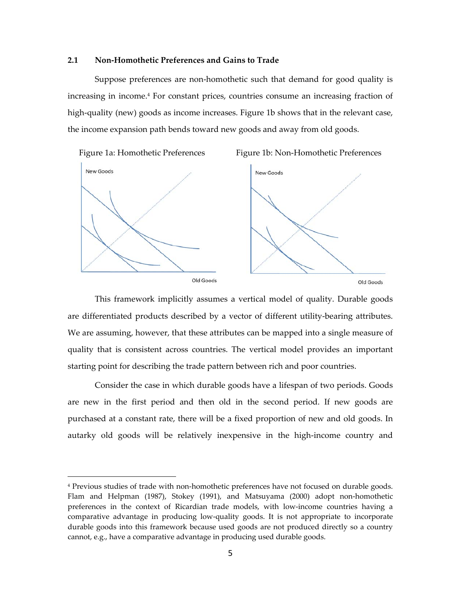## **2.1 Non‐Homothetic Preferences and Gains to Trade**

Suppose preferences are non‐homothetic such that demand for good quality is increasing in income.4 For constant prices, countries consume an increasing fraction of high-quality (new) goods as income increases. Figure 1b shows that in the relevant case, the income expansion path bends toward new goods and away from old goods.



Figure 1a: Homothetic Preferences Figure 1b: Non‐Homothetic Preferences



 $\overline{a}$ 





Old Goods Old Goods Old Goods Old Goods Old Goods Old Goods Old Goods Control of the Control of the Control of Control of the Control of Control of Goods of the Control of Control of Control of Control of Control of Contro

This framework implicitly assumes a vertical model of quality. Durable goods are differentiated products described by a vector of different utility‐bearing attributes. We are assuming, however, that these attributes can be mapped into a single measure of quality that is consistent across countries. The vertical model provides an important starting point for describing the trade pattern between rich and poor countries.

Consider the case in which durable goods have a lifespan of two periods. Goods are new in the first period and then old in the second period. If new goods are purchased at a constant rate, there will be a fixed proportion of new and old goods. In autarky old goods will be relatively inexpensive in the high‐income country and

<sup>4</sup> Previous studies of trade with non‐homothetic preferences have not focused on durable goods. Flam and Helpman (1987), Stokey (1991), and Matsuyama (2000) adopt non-homothetic preferences in the context of Ricardian trade models, with low‐income countries having a comparative advantage in producing low‐quality goods. It is not appropriate to incorporate durable goods into this framework because used goods are not produced directly so a country cannot, e.g., have a comparative advantage in producing used durable goods.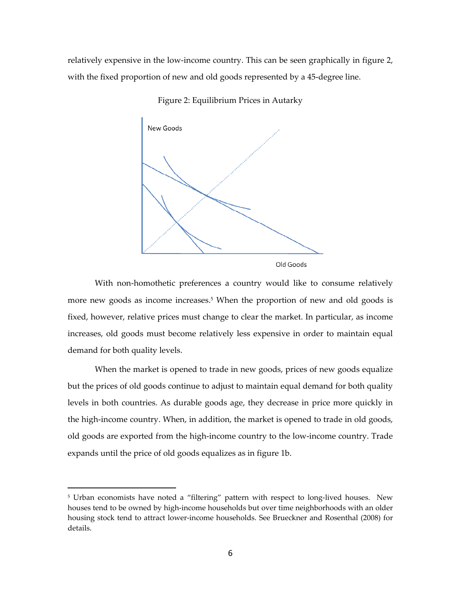relatively expensive in the low‐income country. This can be seen graphically in figure 2, with the fixed proportion of new and old goods represented by a 45-degree line.



Figure 2: Equilibrium Prices in Autarky

With non-homothetic preferences a country would like to consume relatively more new goods as income increases.<sup>5</sup> When the proportion of new and old goods is fixed, however, relative prices must change to clear the market. In particular, as income increases, old goods must become relatively less expensive in order to maintain equal demand for both quality levels.

When the market is opened to trade in new goods, prices of new goods equalize but the prices of old goods continue to adjust to maintain equal demand for both quality levels in both countries. As durable goods age, they decrease in price more quickly in the high-income country. When, in addition, the market is opened to trade in old goods, old goods are exported from the high‐income country to the low‐income country. Trade expands until the price of old goods equalizes as in figure 1b.

<sup>&</sup>lt;sup>5</sup> Urban economists have noted a "filtering" pattern with respect to long-lived houses. New houses tend to be owned by high‐income households but over time neighborhoods with an older housing stock tend to attract lower‐income households. See Brueckner and Rosenthal (2008) for details.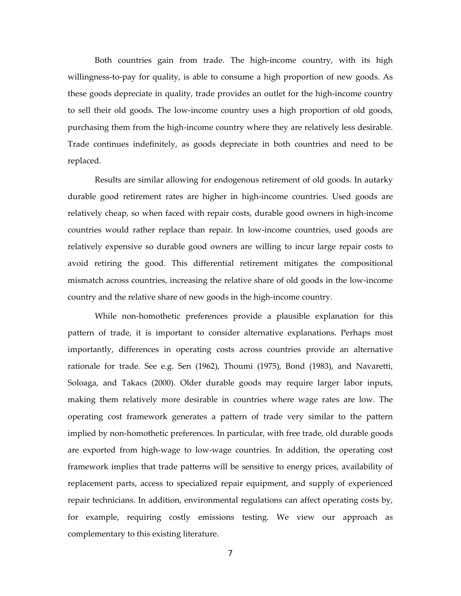Both countries gain from trade. The high‐income country, with its high willingness‐to‐pay for quality, is able to consume a high proportion of new goods. As these goods depreciate in quality, trade provides an outlet for the high-income country to sell their old goods. The low‐income country uses a high proportion of old goods, purchasing them from the high-income country where they are relatively less desirable. Trade continues indefinitely, as goods depreciate in both countries and need to be replaced.

Results are similar allowing for endogenous retirement of old goods. In autarky durable good retirement rates are higher in high‐income countries. Used goods are relatively cheap, so when faced with repair costs, durable good owners in high-income countries would rather replace than repair. In low‐income countries, used goods are relatively expensive so durable good owners are willing to incur large repair costs to avoid retiring the good. This differential retirement mitigates the compositional mismatch across countries, increasing the relative share of old goods in the low‐income country and the relative share of new goods in the high‐income country.

While non-homothetic preferences provide a plausible explanation for this pattern of trade, it is important to consider alternative explanations. Perhaps most importantly, differences in operating costs across countries provide an alternative rationale for trade. See e.g. Sen (1962), Thoumi (1975), Bond (1983), and Navaretti, Soloaga, and Takacs (2000). Older durable goods may require larger labor inputs, making them relatively more desirable in countries where wage rates are low. The operating cost framework generates a pattern of trade very similar to the pattern implied by non‐homothetic preferences. In particular, with free trade, old durable goods are exported from high‐wage to low‐wage countries. In addition, the operating cost framework implies that trade patterns will be sensitive to energy prices, availability of replacement parts, access to specialized repair equipment, and supply of experienced repair technicians. In addition, environmental regulations can affect operating costs by, for example, requiring costly emissions testing. We view our approach as complementary to this existing literature.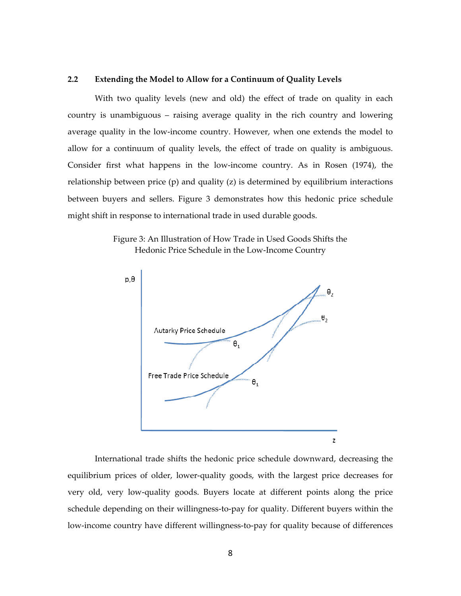## **2.2 Extending the Model to Allow for a Continuum of Quality Levels**

With two quality levels (new and old) the effect of trade on quality in each country is unambiguous – raising average quality in the rich country and lowering average quality in the low‐income country. However, when one extends the model to allow for a continuum of quality levels, the effect of trade on quality is ambiguous. Consider first what happens in the low‐income country. As in Rosen (1974), the relationship between price (p) and quality (z) is determined by equilibrium interactions between buyers and sellers. Figure 3 demonstrates how this hedonic price schedule might shift in response to international trade in used durable goods.

Figure 3: An Illustration of How Trade in Used Goods Shifts the Hedonic Price Schedule in the Low‐Income Country



International trade shifts the hedonic price schedule downward, decreasing the equilibrium prices of older, lower-quality goods, with the largest price decreases for very old, very low‐quality goods. Buyers locate at different points along the price schedule depending on their willingness-to-pay for quality. Different buyers within the low-income country have different willingness-to-pay for quality because of differences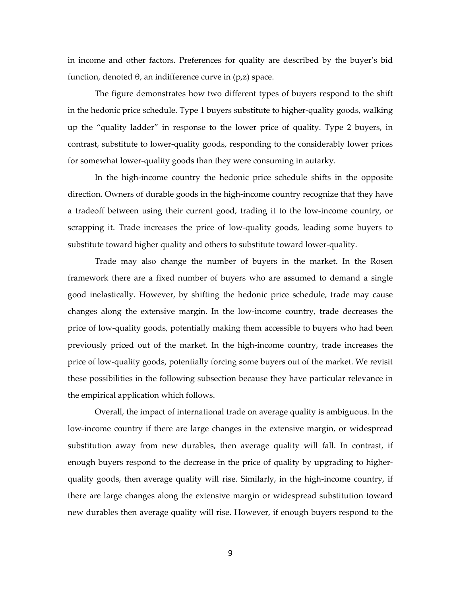in income and other factors. Preferences for quality are described by the buyer's bid function, denoted θ, an indifference curve in (p,z) space.

The figure demonstrates how two different types of buyers respond to the shift in the hedonic price schedule. Type 1 buyers substitute to higher‐quality goods, walking up the "quality ladder" in response to the lower price of quality. Type 2 buyers, in contrast, substitute to lower‐quality goods, responding to the considerably lower prices for somewhat lower-quality goods than they were consuming in autarky.

In the high‐income country the hedonic price schedule shifts in the opposite direction. Owners of durable goods in the high‐income country recognize that they have a tradeoff between using their current good, trading it to the low‐income country, or scrapping it. Trade increases the price of low‐quality goods, leading some buyers to substitute toward higher quality and others to substitute toward lower-quality.

Trade may also change the number of buyers in the market. In the Rosen framework there are a fixed number of buyers who are assumed to demand a single good inelastically. However, by shifting the hedonic price schedule, trade may cause changes along the extensive margin. In the low‐income country, trade decreases the price of low‐quality goods, potentially making them accessible to buyers who had been previously priced out of the market. In the high-income country, trade increases the price of low‐quality goods, potentially forcing some buyers out of the market. We revisit these possibilities in the following subsection because they have particular relevance in the empirical application which follows.

Overall, the impact of international trade on average quality is ambiguous. In the low‐income country if there are large changes in the extensive margin, or widespread substitution away from new durables, then average quality will fall. In contrast, if enough buyers respond to the decrease in the price of quality by upgrading to higher‐ quality goods, then average quality will rise. Similarly, in the high‐income country, if there are large changes along the extensive margin or widespread substitution toward new durables then average quality will rise. However, if enough buyers respond to the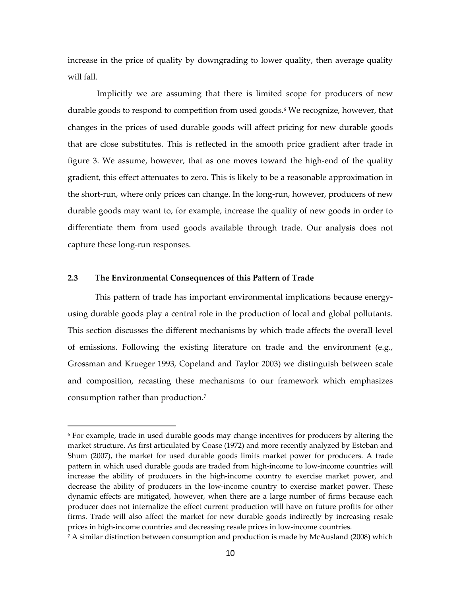increase in the price of quality by downgrading to lower quality, then average quality will fall.

Implicitly we are assuming that there is limited scope for producers of new durable goods to respond to competition from used goods.<sup>6</sup> We recognize, however, that changes in the prices of used durable goods will affect pricing for new durable goods that are close substitutes. This is reflected in the smooth price gradient after trade in figure 3. We assume, however, that as one moves toward the high‐end of the quality gradient, this effect attenuates to zero. This is likely to be a reasonable approximation in the short-run, where only prices can change. In the long-run, however, producers of new durable goods may want to, for example, increase the quality of new goods in order to differentiate them from used goods available through trade. Our analysis does not capture these long‐run responses.

## **2.3 The Environmental Consequences of this Pattern of Trade**

 $\overline{a}$ 

This pattern of trade has important environmental implications because energy‐ using durable goods play a central role in the production of local and global pollutants. This section discusses the different mechanisms by which trade affects the overall level of emissions. Following the existing literature on trade and the environment (e.g., Grossman and Krueger 1993, Copeland and Taylor 2003) we distinguish between scale and composition, recasting these mechanisms to our framework which emphasizes consumption rather than production.7

<sup>6</sup> For example, trade in used durable goods may change incentives for producers by altering the market structure. As first articulated by Coase (1972) and more recently analyzed by Esteban and Shum (2007), the market for used durable goods limits market power for producers. A trade pattern in which used durable goods are traded from high‐income to low‐income countries will increase the ability of producers in the high‐income country to exercise market power, and decrease the ability of producers in the low‐income country to exercise market power. These dynamic effects are mitigated, however, when there are a large number of firms because each producer does not internalize the effect current production will have on future profits for other firms. Trade will also affect the market for new durable goods indirectly by increasing resale prices in high‐income countries and decreasing resale prices in low‐income countries.

 $7$  A similar distinction between consumption and production is made by McAusland (2008) which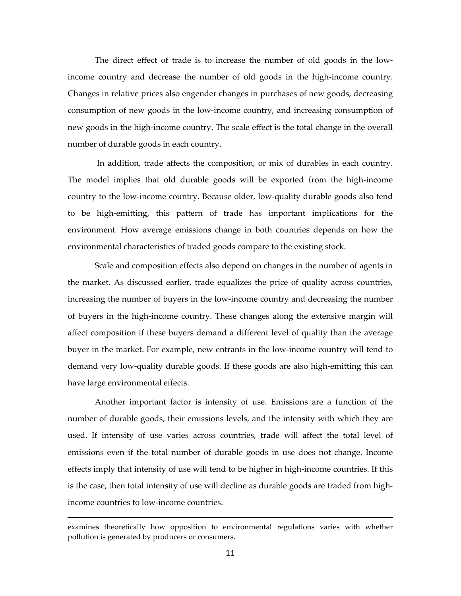The direct effect of trade is to increase the number of old goods in the low‐ income country and decrease the number of old goods in the high‐income country. Changes in relative prices also engender changes in purchases of new goods, decreasing consumption of new goods in the low‐income country, and increasing consumption of new goods in the high‐income country. The scale effect is the total change in the overall number of durable goods in each country.

In addition, trade affects the composition, or mix of durables in each country. The model implies that old durable goods will be exported from the high‐income country to the low‐income country. Because older, low‐quality durable goods also tend to be high‐emitting, this pattern of trade has important implications for the environment. How average emissions change in both countries depends on how the environmental characteristics of traded goods compare to the existing stock.

Scale and composition effects also depend on changes in the number of agents in the market. As discussed earlier, trade equalizes the price of quality across countries, increasing the number of buyers in the low‐income country and decreasing the number of buyers in the high‐income country. These changes along the extensive margin will affect composition if these buyers demand a different level of quality than the average buyer in the market. For example, new entrants in the low‐income country will tend to demand very low‐quality durable goods. If these goods are also high‐emitting this can have large environmental effects.

Another important factor is intensity of use. Emissions are a function of the number of durable goods, their emissions levels, and the intensity with which they are used. If intensity of use varies across countries, trade will affect the total level of emissions even if the total number of durable goods in use does not change. Income effects imply that intensity of use will tend to be higher in high-income countries. If this is the case, then total intensity of use will decline as durable goods are traded from high‐ income countries to low‐income countries.

examines theoretically how opposition to environmental regulations varies with whether pollution is generated by producers or consumers.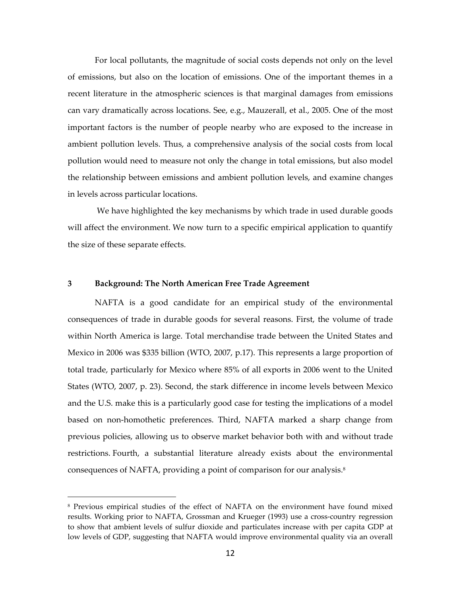For local pollutants, the magnitude of social costs depends not only on the level of emissions, but also on the location of emissions. One of the important themes in a recent literature in the atmospheric sciences is that marginal damages from emissions can vary dramatically across locations. See, e.g., Mauzerall, et al., 2005. One of the most important factors is the number of people nearby who are exposed to the increase in ambient pollution levels. Thus, a comprehensive analysis of the social costs from local pollution would need to measure not only the change in total emissions, but also model the relationship between emissions and ambient pollution levels, and examine changes in levels across particular locations.

We have highlighted the key mechanisms by which trade in used durable goods will affect the environment. We now turn to a specific empirical application to quantify the size of these separate effects.

### **3 Background: The North American Free Trade Agreement**

 $\overline{a}$ 

NAFTA is a good candidate for an empirical study of the environmental consequences of trade in durable goods for several reasons. First, the volume of trade within North America is large. Total merchandise trade between the United States and Mexico in 2006 was \$335 billion (WTO, 2007, p.17). This represents a large proportion of total trade, particularly for Mexico where 85% of all exports in 2006 went to the United States (WTO, 2007, p. 23). Second, the stark difference in income levels between Mexico and the U.S. make this is a particularly good case for testing the implications of a model based on non‐homothetic preferences. Third, NAFTA marked a sharp change from previous policies, allowing us to observe market behavior both with and without trade restrictions. Fourth, a substantial literature already exists about the environmental consequences of NAFTA, providing a point of comparison for our analysis.8

<sup>8</sup> Previous empirical studies of the effect of NAFTA on the environment have found mixed results. Working prior to NAFTA, Grossman and Krueger (1993) use a cross‐country regression to show that ambient levels of sulfur dioxide and particulates increase with per capita GDP at low levels of GDP, suggesting that NAFTA would improve environmental quality via an overall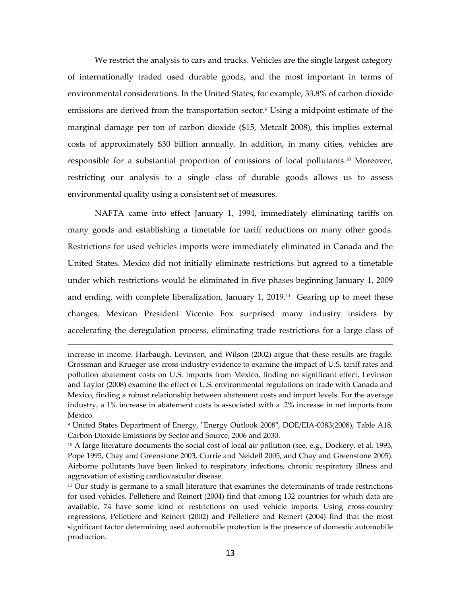We restrict the analysis to cars and trucks. Vehicles are the single largest category of internationally traded used durable goods, and the most important in terms of environmental considerations. In the United States, for example, 33.8% of carbon dioxide emissions are derived from the transportation sector.<sup>9</sup> Using a midpoint estimate of the marginal damage per ton of carbon dioxide (\$15, Metcalf 2008), this implies external costs of approximately \$30 billion annually. In addition, in many cities, vehicles are responsible for a substantial proportion of emissions of local pollutants.10 Moreover, restricting our analysis to a single class of durable goods allows us to assess environmental quality using a consistent set of measures.

NAFTA came into effect January 1, 1994, immediately eliminating tariffs on many goods and establishing a timetable for tariff reductions on many other goods. Restrictions for used vehicles imports were immediately eliminated in Canada and the United States. Mexico did not initially eliminate restrictions but agreed to a timetable under which restrictions would be eliminated in five phases beginning January 1, 2009 and ending, with complete liberalization, January  $1, 2019$ .<sup>11</sup> Gearing up to meet these changes, Mexican President Vicente Fox surprised many industry insiders by accelerating the deregulation process, eliminating trade restrictions for a large class of

increase in income. Harbaugh, Levinson, and Wilson (2002) argue that these results are fragile. Grossman and Krueger use cross‐industry evidence to examine the impact of U.S. tariff rates and pollution abatement costs on U.S. imports from Mexico, finding no significant effect. Levinson and Taylor (2008) examine the effect of U.S. environmental regulations on trade with Canada and Mexico, finding a robust relationship between abatement costs and import levels. For the average industry, a 1% increase in abatement costs is associated with a .2% increase in net imports from Mexico.

<sup>&</sup>lt;sup>9</sup> United States Department of Energy, "Energy Outlook 2008", DOE/EIA-0383(2008), Table A18, Carbon Dioxide Emissions by Sector and Source, 2006 and 2030.

 $10$  A large literature documents the social cost of local air pollution (see, e.g., Dockery, et al. 1993, Pope 1995, Chay and Greenstone 2003, Currie and Neidell 2005, and Chay and Greenstone 2005). Airborne pollutants have been linked to respiratory infections, chronic respiratory illness and aggravation of existing cardiovascular disease.

 $11$  Our study is germane to a small literature that examines the determinants of trade restrictions for used vehicles. Pelletiere and Reinert (2004) find that among 132 countries for which data are available, 74 have some kind of restrictions on used vehicle imports. Using cross‐country regressions, Pelletiere and Reinert (2002) and Pelletiere and Reinert (2004) find that the most significant factor determining used automobile protection is the presence of domestic automobile production.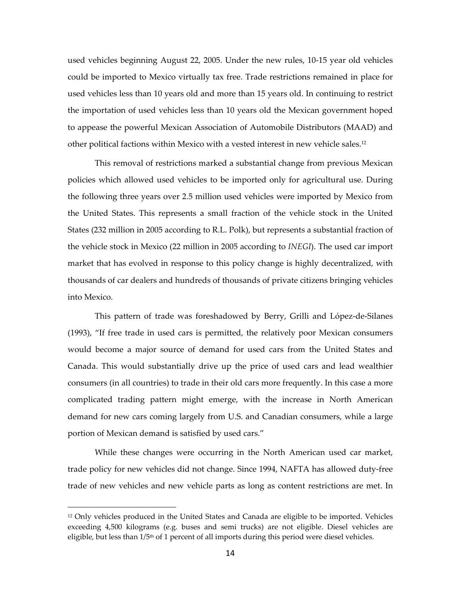used vehicles beginning August 22, 2005. Under the new rules, 10‐15 year old vehicles could be imported to Mexico virtually tax free. Trade restrictions remained in place for used vehicles less than 10 years old and more than 15 years old. In continuing to restrict the importation of used vehicles less than 10 years old the Mexican government hoped to appease the powerful Mexican Association of Automobile Distributors (MAAD) and other political factions within Mexico with a vested interest in new vehicle sales.12

This removal of restrictions marked a substantial change from previous Mexican policies which allowed used vehicles to be imported only for agricultural use. During the following three years over 2.5 million used vehicles were imported by Mexico from the United States. This represents a small fraction of the vehicle stock in the United States (232 million in 2005 according to R.L. Polk), but represents a substantial fraction of the vehicle stock in Mexico (22 million in 2005 according to *INEGI*). The used car import market that has evolved in response to this policy change is highly decentralized, with thousands of car dealers and hundreds of thousands of private citizens bringing vehicles into Mexico.

This pattern of trade was foreshadowed by Berry, Grilli and López-de-Silanes (1993), "If free trade in used cars is permitted, the relatively poor Mexican consumers would become a major source of demand for used cars from the United States and Canada. This would substantially drive up the price of used cars and lead wealthier consumers (in all countries) to trade in their old cars more frequently. In this case a more complicated trading pattern might emerge, with the increase in North American demand for new cars coming largely from U.S. and Canadian consumers, while a large portion of Mexican demand is satisfied by used cars."

While these changes were occurring in the North American used car market, trade policy for new vehicles did not change. Since 1994, NAFTA has allowed duty‐free trade of new vehicles and new vehicle parts as long as content restrictions are met. In

<sup>12</sup> Only vehicles produced in the United States and Canada are eligible to be imported. Vehicles exceeding 4,500 kilograms (e.g. buses and semi trucks) are not eligible. Diesel vehicles are eligible, but less than  $1/5<sup>th</sup>$  of 1 percent of all imports during this period were diesel vehicles.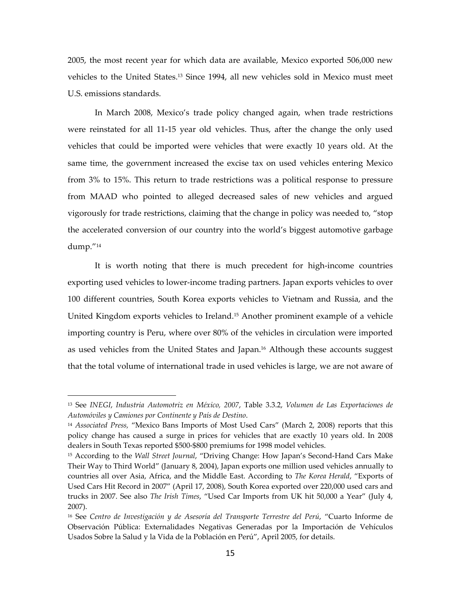2005, the most recent year for which data are available, Mexico exported 506,000 new vehicles to the United States.13 Since 1994, all new vehicles sold in Mexico must meet U.S. emissions standards.

In March 2008, Mexico's trade policy changed again, when trade restrictions were reinstated for all 11‐15 year old vehicles. Thus, after the change the only used vehicles that could be imported were vehicles that were exactly 10 years old. At the same time, the government increased the excise tax on used vehicles entering Mexico from 3% to 15%. This return to trade restrictions was a political response to pressure from MAAD who pointed to alleged decreased sales of new vehicles and argued vigorously for trade restrictions, claiming that the change in policy was needed to, "stop the accelerated conversion of our country into the world's biggest automotive garbage dump."14

It is worth noting that there is much precedent for high-income countries exporting used vehicles to lower‐income trading partners. Japan exports vehicles to over 100 different countries, South Korea exports vehicles to Vietnam and Russia, and the United Kingdom exports vehicles to Ireland.15 Another prominent example of a vehicle importing country is Peru, where over 80% of the vehicles in circulation were imported as used vehicles from the United States and Japan.16 Although these accounts suggest that the total volume of international trade in used vehicles is large, we are not aware of

<sup>13</sup> See *INEGI*, *Industria Automotriz en México, 2007*, Table 3.3.2, *Volumen de Las Exportaciones de Automóviles y Camiones por Continente y País de Destino*.

<sup>14</sup> *Associated Press,* "Mexico Bans Imports of Most Used Cars" (March 2, 2008) reports that this policy change has caused a surge in prices for vehicles that are exactly 10 years old. In 2008 dealers in South Texas reported \$500‐\$800 premiums for 1998 model vehicles.

<sup>15</sup> According to the *Wall Street Journal*, "Driving Change: How Japan's Second‐Hand Cars Make Their Way to Third World" (January 8, 2004), Japan exports one million used vehicles annually to countries all over Asia, Africa, and the Middle East. According to *The Korea Herald*, "Exports of Used Cars Hit Record in 2007" (April 17, 2008), South Korea exported over 220,000 used cars and trucks in 2007. See also *The Irish Times*, "Used Car Imports from UK hit 50,000 a Year" (July 4, 2007).

<sup>16</sup> See *Centro de Investigación y de Asesoría del Transporte Terrestre del Perú*, "Cuarto Informe de Observación Pública: Externalidades Negativas Generadas por la Importación de Vehículos Usados Sobre la Salud y la Vida de la Población en Perú", April 2005, for details.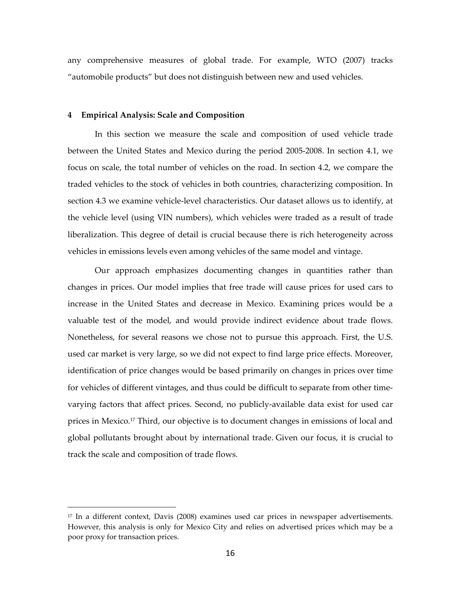any comprehensive measures of global trade. For example, WTO (2007) tracks "automobile products" but does not distinguish between new and used vehicles.

#### **4 Empirical Analysis: Scale and Composition**

 $\overline{a}$ 

In this section we measure the scale and composition of used vehicle trade between the United States and Mexico during the period 2005‐2008. In section 4.1, we focus on scale, the total number of vehicles on the road. In section 4.2, we compare the traded vehicles to the stock of vehicles in both countries, characterizing composition. In section 4.3 we examine vehicle-level characteristics. Our dataset allows us to identify, at the vehicle level (using VIN numbers), which vehicles were traded as a result of trade liberalization. This degree of detail is crucial because there is rich heterogeneity across vehicles in emissions levels even among vehicles of the same model and vintage.

Our approach emphasizes documenting changes in quantities rather than changes in prices. Our model implies that free trade will cause prices for used cars to increase in the United States and decrease in Mexico. Examining prices would be a valuable test of the model, and would provide indirect evidence about trade flows. Nonetheless, for several reasons we chose not to pursue this approach. First, the U.S. used car market is very large, so we did not expect to find large price effects. Moreover, identification of price changes would be based primarily on changes in prices over time for vehicles of different vintages, and thus could be difficult to separate from other timevarying factors that affect prices. Second, no publicly‐available data exist for used car prices in Mexico.17 Third, our objective is to document changes in emissions of local and global pollutants brought about by international trade. Given our focus, it is crucial to track the scale and composition of trade flows.

<sup>17</sup> In a different context, Davis (2008) examines used car prices in newspaper advertisements. However, this analysis is only for Mexico City and relies on advertised prices which may be a poor proxy for transaction prices.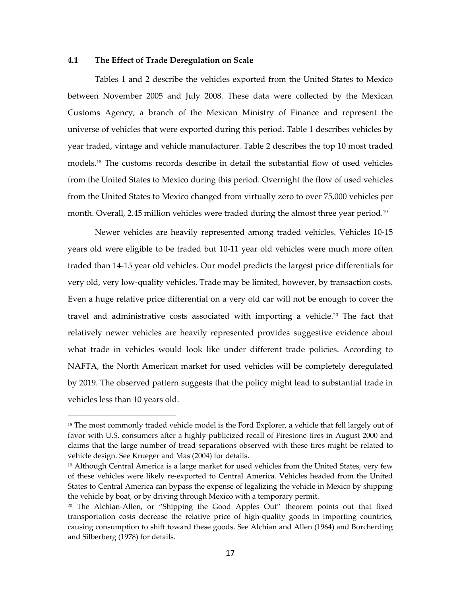## **4.1 The Effect of Trade Deregulation on Scale**

 $\overline{a}$ 

Tables 1 and 2 describe the vehicles exported from the United States to Mexico between November 2005 and July 2008. These data were collected by the Mexican Customs Agency, a branch of the Mexican Ministry of Finance and represent the universe of vehicles that were exported during this period. Table 1 describes vehicles by year traded, vintage and vehicle manufacturer. Table 2 describes the top 10 most traded models.18 The customs records describe in detail the substantial flow of used vehicles from the United States to Mexico during this period. Overnight the flow of used vehicles from the United States to Mexico changed from virtually zero to over 75,000 vehicles per month. Overall, 2.45 million vehicles were traded during the almost three year period.<sup>19</sup>

Newer vehicles are heavily represented among traded vehicles. Vehicles 10‐15 years old were eligible to be traded but 10‐11 year old vehicles were much more often traded than 14‐15 year old vehicles. Our model predicts the largest price differentials for very old, very low‐quality vehicles. Trade may be limited, however, by transaction costs. Even a huge relative price differential on a very old car will not be enough to cover the travel and administrative costs associated with importing a vehicle.<sup>20</sup> The fact that relatively newer vehicles are heavily represented provides suggestive evidence about what trade in vehicles would look like under different trade policies. According to NAFTA, the North American market for used vehicles will be completely deregulated by 2019. The observed pattern suggests that the policy might lead to substantial trade in vehicles less than 10 years old.

<sup>&</sup>lt;sup>18</sup> The most commonly traded vehicle model is the Ford Explorer, a vehicle that fell largely out of favor with U.S. consumers after a highly-publicized recall of Firestone tires in August 2000 and claims that the large number of tread separations observed with these tires might be related to vehicle design. See Krueger and Mas (2004) for details.

 $19$  Although Central America is a large market for used vehicles from the United States, very few of these vehicles were likely re‐exported to Central America. Vehicles headed from the United States to Central America can bypass the expense of legalizing the vehicle in Mexico by shipping the vehicle by boat, or by driving through Mexico with a temporary permit.

 $20$  The Alchian-Allen, or "Shipping the Good Apples Out" theorem points out that fixed transportation costs decrease the relative price of high‐quality goods in importing countries, causing consumption to shift toward these goods. See Alchian and Allen (1964) and Borcherding and Silberberg (1978) for details.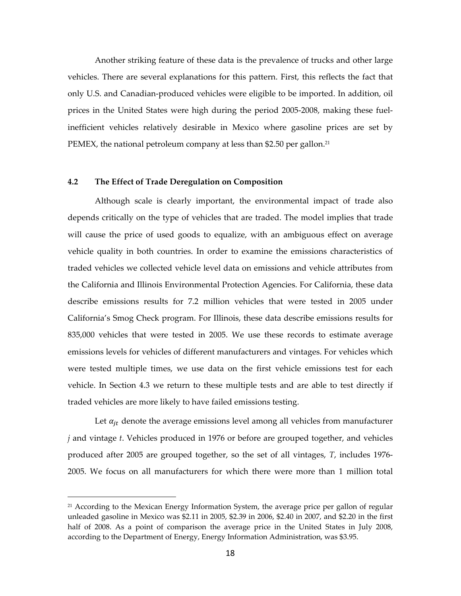Another striking feature of these data is the prevalence of trucks and other large vehicles. There are several explanations for this pattern. First, this reflects the fact that only U.S. and Canadian‐produced vehicles were eligible to be imported. In addition, oil prices in the United States were high during the period 2005‐2008, making these fuel‐ inefficient vehicles relatively desirable in Mexico where gasoline prices are set by PEMEX, the national petroleum company at less than \$2.50 per gallon.<sup>21</sup>

## **4.2 The Effect of Trade Deregulation on Composition**

Although scale is clearly important, the environmental impact of trade also depends critically on the type of vehicles that are traded. The model implies that trade will cause the price of used goods to equalize, with an ambiguous effect on average vehicle quality in both countries. In order to examine the emissions characteristics of traded vehicles we collected vehicle level data on emissions and vehicle attributes from the California and Illinois Environmental Protection Agencies. For California, these data describe emissions results for 7.2 million vehicles that were tested in 2005 under California's Smog Check program. For Illinois, these data describe emissions results for 835,000 vehicles that were tested in 2005. We use these records to estimate average emissions levels for vehicles of different manufacturers and vintages. For vehicles which were tested multiple times, we use data on the first vehicle emissions test for each vehicle. In Section 4.3 we return to these multiple tests and are able to test directly if traded vehicles are more likely to have failed emissions testing.

Let  $a_{it}$  denote the average emissions level among all vehicles from manufacturer *j* and vintage *t*. Vehicles produced in 1976 or before are grouped together, and vehicles produced after 2005 are grouped together, so the set of all vintages, *T*, includes 1976‐ 2005. We focus on all manufacturers for which there were more than 1 million total

 $21$  According to the Mexican Energy Information System, the average price per gallon of regular unleaded gasoline in Mexico was \$2.11 in 2005, \$2.39 in 2006, \$2.40 in 2007, and \$2.20 in the first half of 2008. As a point of comparison the average price in the United States in July 2008, according to the Department of Energy, Energy Information Administration, was \$3.95.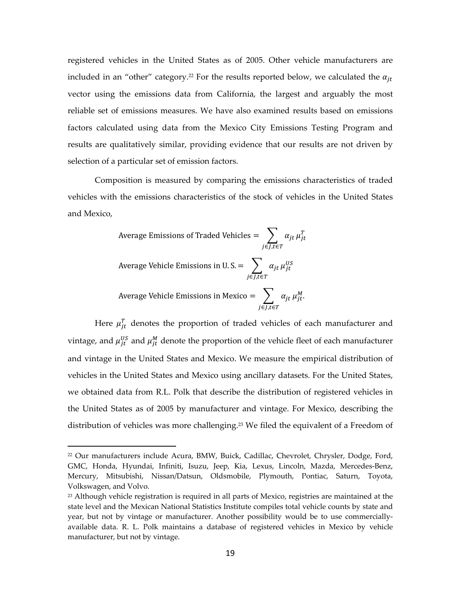registered vehicles in the United States as of 2005. Other vehicle manufacturers are included in an "other" category.<sup>22</sup> For the results reported below, we calculated the  $\alpha_{it}$ vector using the emissions data from California, the largest and arguably the most reliable set of emissions measures. We have also examined results based on emissions factors calculated using data from the Mexico City Emissions Testing Program and results are qualitatively similar, providing evidence that our results are not driven by selection of a particular set of emission factors.

Composition is measured by comparing the emissions characteristics of traded vehicles with the emissions characteristics of the stock of vehicles in the United States and Mexico,

Average Emissions of Traded Vehicles = 
$$
\sum_{j \in J, t \in T} \alpha_{jt} \mu_{jt}^T
$$
  
Average Vehicle Emissions in U.S. = 
$$
\sum_{j \in J, t \in T} \alpha_{jt} \mu_{jt}^{US}
$$
  
Average Vehicle Emissions in Mexico = 
$$
\sum_{j \in J, t \in T} \alpha_{jt} \mu_{jt}^M.
$$

Here  $\mu_{jt}^T$  denotes the proportion of traded vehicles of each manufacturer and vintage, and  $\mu_{jt}^{US}$  and  $\mu_{jt}^M$  denote the proportion of the vehicle fleet of each manufacturer and vintage in the United States and Mexico. We measure the empirical distribution of vehicles in the United States and Mexico using ancillary datasets. For the United States, we obtained data from R.L. Polk that describe the distribution of registered vehicles in the United States as of 2005 by manufacturer and vintage. For Mexico, describing the distribution of vehicles was more challenging.<sup>23</sup> We filed the equivalent of a Freedom of

<sup>22</sup> Our manufacturers include Acura, BMW, Buick, Cadillac, Chevrolet, Chrysler, Dodge, Ford, GMC, Honda, Hyundai, Infiniti, Isuzu, Jeep, Kia, Lexus, Lincoln, Mazda, Mercedes‐Benz, Mercury, Mitsubishi, Nissan/Datsun, Oldsmobile, Plymouth, Pontiac, Saturn, Toyota, Volkswagen, and Volvo.

<sup>&</sup>lt;sup>23</sup> Although vehicle registration is required in all parts of Mexico, registries are maintained at the state level and the Mexican National Statistics Institute compiles total vehicle counts by state and year, but not by vintage or manufacturer. Another possibility would be to use commerciallyavailable data. R. L. Polk maintains a database of registered vehicles in Mexico by vehicle manufacturer, but not by vintage.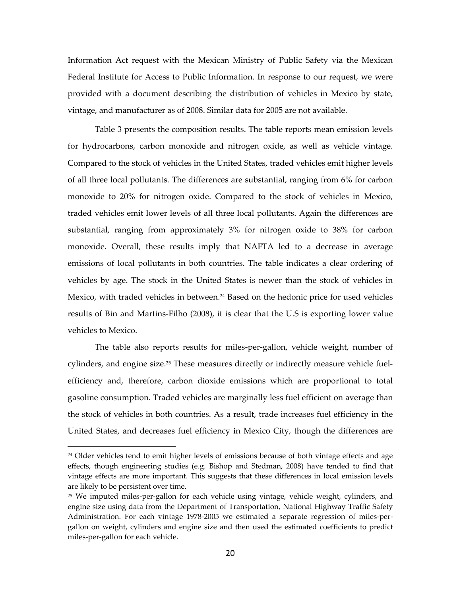Information Act request with the Mexican Ministry of Public Safety via the Mexican Federal Institute for Access to Public Information. In response to our request, we were provided with a document describing the distribution of vehicles in Mexico by state, vintage, and manufacturer as of 2008. Similar data for 2005 are not available.

Table 3 presents the composition results. The table reports mean emission levels for hydrocarbons, carbon monoxide and nitrogen oxide, as well as vehicle vintage. Compared to the stock of vehicles in the United States, traded vehicles emit higher levels of all three local pollutants. The differences are substantial, ranging from 6% for carbon monoxide to 20% for nitrogen oxide. Compared to the stock of vehicles in Mexico, traded vehicles emit lower levels of all three local pollutants. Again the differences are substantial, ranging from approximately 3% for nitrogen oxide to 38% for carbon monoxide. Overall, these results imply that NAFTA led to a decrease in average emissions of local pollutants in both countries. The table indicates a clear ordering of vehicles by age. The stock in the United States is newer than the stock of vehicles in Mexico, with traded vehicles in between.<sup>24</sup> Based on the hedonic price for used vehicles results of Bin and Martins‐Filho (2008), it is clear that the U.S is exporting lower value vehicles to Mexico.

The table also reports results for miles-per-gallon, vehicle weight, number of cylinders, and engine size.<sup>25</sup> These measures directly or indirectly measure vehicle fuelefficiency and, therefore, carbon dioxide emissions which are proportional to total gasoline consumption. Traded vehicles are marginally less fuel efficient on average than the stock of vehicles in both countries. As a result, trade increases fuel efficiency in the United States, and decreases fuel efficiency in Mexico City, though the differences are

<sup>&</sup>lt;sup>24</sup> Older vehicles tend to emit higher levels of emissions because of both vintage effects and age effects, though engineering studies (e.g. Bishop and Stedman, 2008) have tended to find that vintage effects are more important. This suggests that these differences in local emission levels are likely to be persistent over time.

 $25$  We imputed miles-per-gallon for each vehicle using vintage, vehicle weight, cylinders, and engine size using data from the Department of Transportation, National Highway Traffic Safety Administration. For each vintage 1978-2005 we estimated a separate regression of miles-pergallon on weight, cylinders and engine size and then used the estimated coefficients to predict miles‐per‐gallon for each vehicle.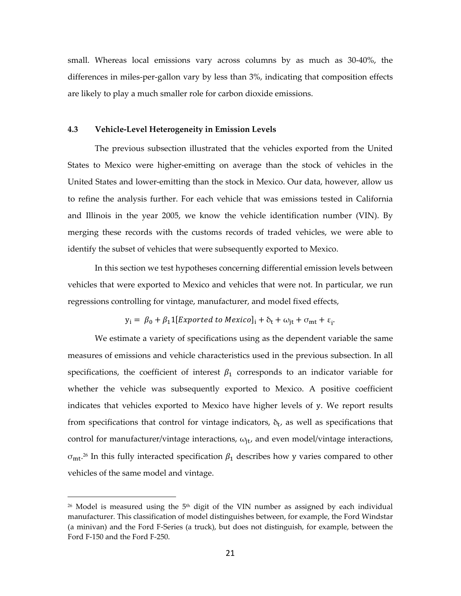small. Whereas local emissions vary across columns by as much as 30-40%, the differences in miles-per-gallon vary by less than  $3\%$ , indicating that composition effects are likely to play a much smaller role for carbon dioxide emissions.

### **4.3 Vehicle‐Level Heterogeneity in Emission Levels**

The previous subsection illustrated that the vehicles exported from the United States to Mexico were higher‐emitting on average than the stock of vehicles in the United States and lower‐emitting than the stock in Mexico. Our data, however, allow us to refine the analysis further. For each vehicle that was emissions tested in California and Illinois in the year 2005, we know the vehicle identification number (VIN). By merging these records with the customs records of traded vehicles, we were able to identify the subset of vehicles that were subsequently exported to Mexico.

In this section we test hypotheses concerning differential emission levels between vehicles that were exported to Mexico and vehicles that were not. In particular, we run regressions controlling for vintage, manufacturer, and model fixed effects,

$$
y_i = \beta_0 + \beta_1 \mathbb{1}[Expected to Mexico]_i + \delta_t + \omega_{jt} + \sigma_{mt} + \varepsilon_i.
$$

We estimate a variety of specifications using as the dependent variable the same measures of emissions and vehicle characteristics used in the previous subsection. In all specifications, the coefficient of interest  $\beta_1$  corresponds to an indicator variable for whether the vehicle was subsequently exported to Mexico. A positive coefficient indicates that vehicles exported to Mexico have higher levels of y. We report results from specifications that control for vintage indicators,  $\delta_t$ , as well as specifications that control for manufacturer/vintage interactions,  $\omega_{\text{it}}$ , and even model/vintage interactions,  $\sigma_{mt}$ .<sup>26</sup> In this fully interacted specification  $\beta_1$  describes how y varies compared to other vehicles of the same model and vintage.

 $26$  Model is measured using the  $5<sup>th</sup>$  digit of the VIN number as assigned by each individual manufacturer. This classification of model distinguishes between, for example, the Ford Windstar (a minivan) and the Ford F‐Series (a truck), but does not distinguish, for example, between the Ford F‐150 and the Ford F‐250.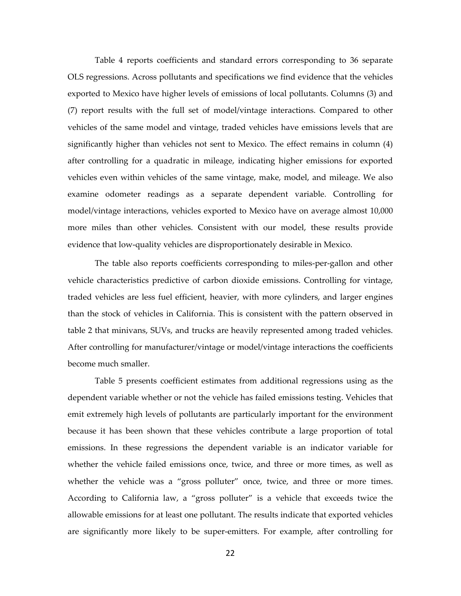Table 4 reports coefficients and standard errors corresponding to 36 separate OLS regressions. Across pollutants and specifications we find evidence that the vehicles exported to Mexico have higher levels of emissions of local pollutants. Columns (3) and (7) report results with the full set of model/vintage interactions. Compared to other vehicles of the same model and vintage, traded vehicles have emissions levels that are significantly higher than vehicles not sent to Mexico. The effect remains in column (4) after controlling for a quadratic in mileage, indicating higher emissions for exported vehicles even within vehicles of the same vintage, make, model, and mileage. We also examine odometer readings as a separate dependent variable. Controlling for model/vintage interactions, vehicles exported to Mexico have on average almost 10,000 more miles than other vehicles. Consistent with our model, these results provide evidence that low‐quality vehicles are disproportionately desirable in Mexico.

The table also reports coefficients corresponding to miles-per-gallon and other vehicle characteristics predictive of carbon dioxide emissions. Controlling for vintage, traded vehicles are less fuel efficient, heavier, with more cylinders, and larger engines than the stock of vehicles in California. This is consistent with the pattern observed in table 2 that minivans, SUVs, and trucks are heavily represented among traded vehicles. After controlling for manufacturer/vintage or model/vintage interactions the coefficients become much smaller.

Table 5 presents coefficient estimates from additional regressions using as the dependent variable whether or not the vehicle has failed emissions testing. Vehicles that emit extremely high levels of pollutants are particularly important for the environment because it has been shown that these vehicles contribute a large proportion of total emissions. In these regressions the dependent variable is an indicator variable for whether the vehicle failed emissions once, twice, and three or more times, as well as whether the vehicle was a "gross polluter" once, twice, and three or more times. According to California law, a "gross polluter" is a vehicle that exceeds twice the allowable emissions for at least one pollutant. The results indicate that exported vehicles are significantly more likely to be super‐emitters. For example, after controlling for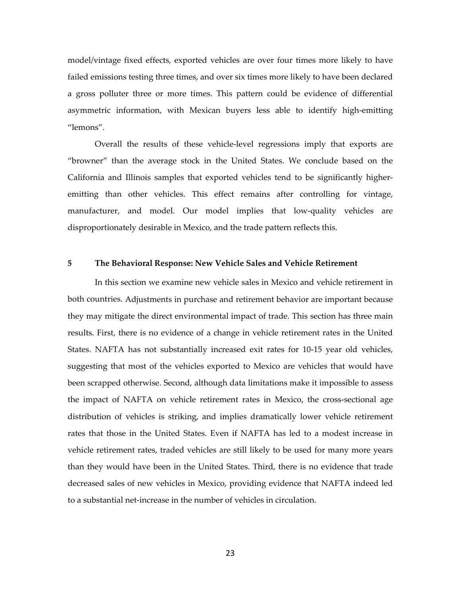model/vintage fixed effects, exported vehicles are over four times more likely to have failed emissions testing three times, and over six times more likely to have been declared a gross polluter three or more times. This pattern could be evidence of differential asymmetric information, with Mexican buyers less able to identify high‐emitting "lemons".

Overall the results of these vehicle‐level regressions imply that exports are "browner" than the average stock in the United States. We conclude based on the California and Illinois samples that exported vehicles tend to be significantly higher‐ emitting than other vehicles. This effect remains after controlling for vintage, manufacturer, and model. Our model implies that low-quality vehicles are disproportionately desirable in Mexico, and the trade pattern reflects this.

### **5 The Behavioral Response: New Vehicle Sales and Vehicle Retirement**

In this section we examine new vehicle sales in Mexico and vehicle retirement in both countries. Adjustments in purchase and retirement behavior are important because they may mitigate the direct environmental impact of trade. This section has three main results. First, there is no evidence of a change in vehicle retirement rates in the United States. NAFTA has not substantially increased exit rates for 10‐15 year old vehicles, suggesting that most of the vehicles exported to Mexico are vehicles that would have been scrapped otherwise. Second, although data limitations make it impossible to assess the impact of NAFTA on vehicle retirement rates in Mexico, the cross-sectional age distribution of vehicles is striking, and implies dramatically lower vehicle retirement rates that those in the United States. Even if NAFTA has led to a modest increase in vehicle retirement rates, traded vehicles are still likely to be used for many more years than they would have been in the United States. Third, there is no evidence that trade decreased sales of new vehicles in Mexico, providing evidence that NAFTA indeed led to a substantial net‐increase in the number of vehicles in circulation.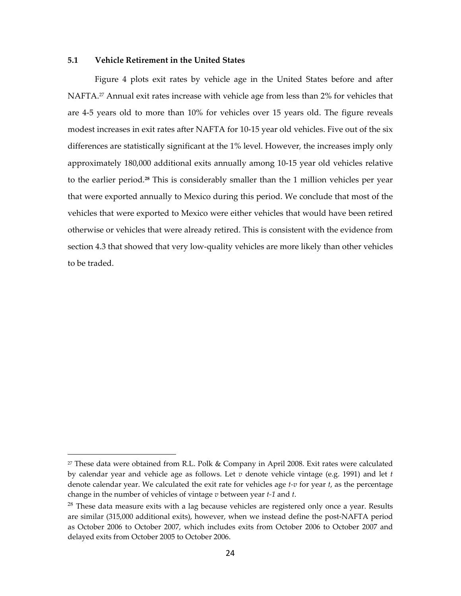## **5.1 Vehicle Retirement in the United States**

 $\overline{a}$ 

Figure 4 plots exit rates by vehicle age in the United States before and after NAFTA.<sup>27</sup> Annual exit rates increase with vehicle age from less than 2% for vehicles that are 4‐5 years old to more than 10% for vehicles over 15 years old. The figure reveals modest increases in exit rates after NAFTA for 10‐15 year old vehicles. Five out of the six differences are statistically significant at the 1% level. However, the increases imply only approximately 180,000 additional exits annually among 10‐15 year old vehicles relative to the earlier period.**<sup>28</sup>** This is considerably smaller than the 1 million vehicles per year that were exported annually to Mexico during this period. We conclude that most of the vehicles that were exported to Mexico were either vehicles that would have been retired otherwise or vehicles that were already retired. This is consistent with the evidence from section 4.3 that showed that very low-quality vehicles are more likely than other vehicles to be traded.

 $27$  These data were obtained from R.L. Polk & Company in April 2008. Exit rates were calculated by calendar year and vehicle age as follows. Let *v* denote vehicle vintage (e.g. 1991) and let *t* denote calendar year. We calculated the exit rate for vehicles age *t‐v* for year *t*, as the percentage change in the number of vehicles of vintage *v* between year *t‐1* and *t*.

 $28$  These data measure exits with a lag because vehicles are registered only once a year. Results are similar (315,000 additional exits), however, when we instead define the post‐NAFTA period as October 2006 to October 2007, which includes exits from October 2006 to October 2007 and delayed exits from October 2005 to October 2006.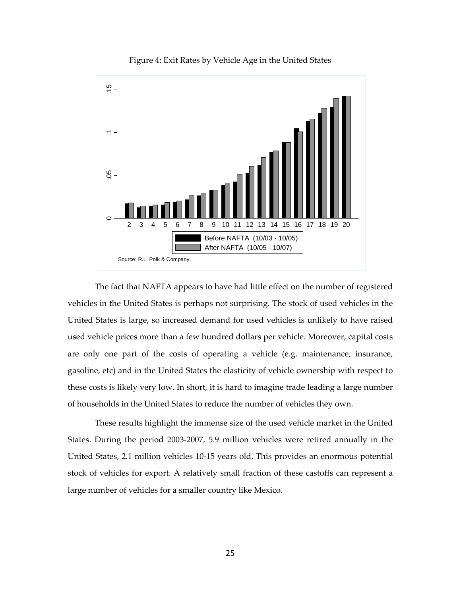

Figure 4: Exit Rates by Vehicle Age in the United States

The fact that NAFTA appears to have had little effect on the number of registered vehicles in the United States is perhaps not surprising. The stock of used vehicles in the United States is large, so increased demand for used vehicles is unlikely to have raised used vehicle prices more than a few hundred dollars per vehicle. Moreover, capital costs are only one part of the costs of operating a vehicle (e.g. maintenance, insurance, gasoline, etc) and in the United States the elasticity of vehicle ownership with respect to these costs is likely very low. In short, it is hard to imagine trade leading a large number of households in the United States to reduce the number of vehicles they own.

These results highlight the immense size of the used vehicle market in the United States. During the period 2003‐2007, 5.9 million vehicles were retired annually in the United States, 2.1 million vehicles 10‐15 years old. This provides an enormous potential stock of vehicles for export. A relatively small fraction of these castoffs can represent a large number of vehicles for a smaller country like Mexico.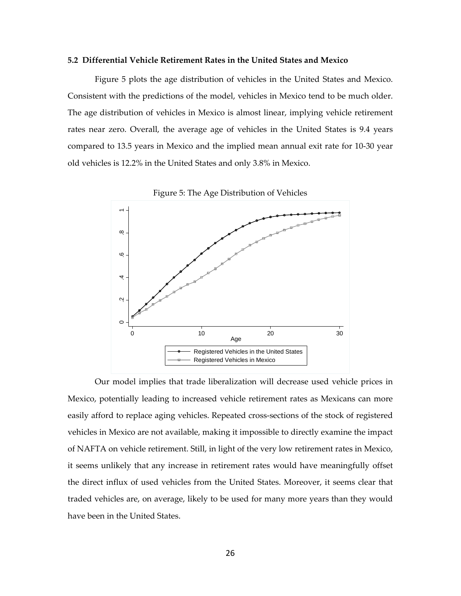#### **5.2 Differential Vehicle Retirement Rates in the United States and Mexico**

Figure 5 plots the age distribution of vehicles in the United States and Mexico. Consistent with the predictions of the model, vehicles in Mexico tend to be much older. The age distribution of vehicles in Mexico is almost linear, implying vehicle retirement rates near zero. Overall, the average age of vehicles in the United States is 9.4 years compared to 13.5 years in Mexico and the implied mean annual exit rate for 10‐30 year old vehicles is 12.2% in the United States and only 3.8% in Mexico.



Figure 5: The Age Distribution of Vehicles

Our model implies that trade liberalization will decrease used vehicle prices in Mexico, potentially leading to increased vehicle retirement rates as Mexicans can more easily afford to replace aging vehicles. Repeated cross‐sections of the stock of registered vehicles in Mexico are not available, making it impossible to directly examine the impact of NAFTA on vehicle retirement. Still, in light of the very low retirement rates in Mexico, it seems unlikely that any increase in retirement rates would have meaningfully offset the direct influx of used vehicles from the United States. Moreover, it seems clear that traded vehicles are, on average, likely to be used for many more years than they would have been in the United States.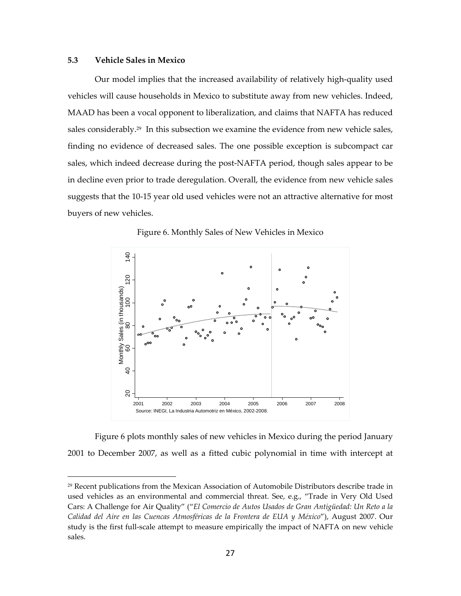## **5.3 Vehicle Sales in Mexico**

 $\overline{a}$ 

Our model implies that the increased availability of relatively high‐quality used vehicles will cause households in Mexico to substitute away from new vehicles. Indeed, MAAD has been a vocal opponent to liberalization, and claims that NAFTA has reduced sales considerably.<sup>29</sup> In this subsection we examine the evidence from new vehicle sales, finding no evidence of decreased sales. The one possible exception is subcompact car sales, which indeed decrease during the post‐NAFTA period, though sales appear to be in decline even prior to trade deregulation. Overall, the evidence from new vehicle sales suggests that the 10‐15 year old used vehicles were not an attractive alternative for most buyers of new vehicles.



Figure 6. Monthly Sales of New Vehicles in Mexico

Figure 6 plots monthly sales of new vehicles in Mexico during the period January 2001 to December 2007, as well as a fitted cubic polynomial in time with intercept at

<sup>29</sup> Recent publications from the Mexican Association of Automobile Distributors describe trade in used vehicles as an environmental and commercial threat. See, e.g., "Trade in Very Old Used Cars: A Challenge for Air Quality" ("*El Comercio de Autos Usados de Gran Antigüedad: Un Reto a la Calidad del Aire en las Cuencas Atmosféricas de la Frontera de EUA y México*"), August 2007. Our study is the first full-scale attempt to measure empirically the impact of NAFTA on new vehicle sales.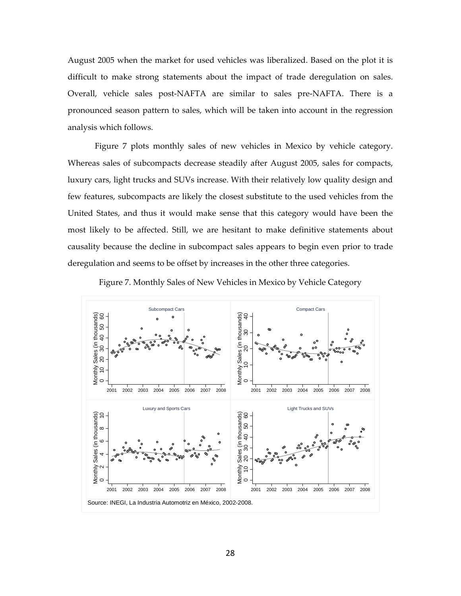August 2005 when the market for used vehicles was liberalized. Based on the plot it is difficult to make strong statements about the impact of trade deregulation on sales. Overall, vehicle sales post‐NAFTA are similar to sales pre‐NAFTA. There is a pronounced season pattern to sales, which will be taken into account in the regression analysis which follows.

Figure 7 plots monthly sales of new vehicles in Mexico by vehicle category. Whereas sales of subcompacts decrease steadily after August 2005, sales for compacts, luxury cars, light trucks and SUVs increase. With their relatively low quality design and few features, subcompacts are likely the closest substitute to the used vehicles from the United States, and thus it would make sense that this category would have been the most likely to be affected. Still, we are hesitant to make definitive statements about causality because the decline in subcompact sales appears to begin even prior to trade deregulation and seems to be offset by increases in the other three categories.



Figure 7. Monthly Sales of New Vehicles in Mexico by Vehicle Category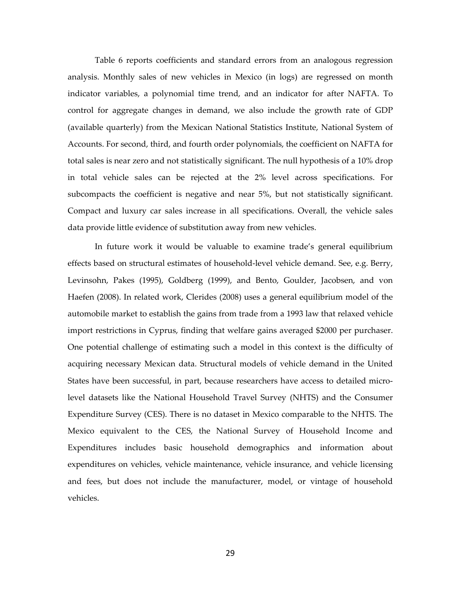Table 6 reports coefficients and standard errors from an analogous regression analysis. Monthly sales of new vehicles in Mexico (in logs) are regressed on month indicator variables, a polynomial time trend, and an indicator for after NAFTA. To control for aggregate changes in demand, we also include the growth rate of GDP (available quarterly) from the Mexican National Statistics Institute, National System of Accounts. For second, third, and fourth order polynomials, the coefficient on NAFTA for total sales is near zero and not statistically significant. The null hypothesis of a 10% drop in total vehicle sales can be rejected at the 2% level across specifications. For subcompacts the coefficient is negative and near 5%, but not statistically significant. Compact and luxury car sales increase in all specifications. Overall, the vehicle sales data provide little evidence of substitution away from new vehicles.

In future work it would be valuable to examine trade's general equilibrium effects based on structural estimates of household‐level vehicle demand. See, e.g. Berry, Levinsohn, Pakes (1995), Goldberg (1999), and Bento, Goulder, Jacobsen, and von Haefen (2008). In related work, Clerides (2008) uses a general equilibrium model of the automobile market to establish the gains from trade from a 1993 law that relaxed vehicle import restrictions in Cyprus, finding that welfare gains averaged \$2000 per purchaser. One potential challenge of estimating such a model in this context is the difficulty of acquiring necessary Mexican data. Structural models of vehicle demand in the United States have been successful, in part, because researchers have access to detailed micro‐ level datasets like the National Household Travel Survey (NHTS) and the Consumer Expenditure Survey (CES). There is no dataset in Mexico comparable to the NHTS. The Mexico equivalent to the CES, the National Survey of Household Income and Expenditures includes basic household demographics and information about expenditures on vehicles, vehicle maintenance, vehicle insurance, and vehicle licensing and fees, but does not include the manufacturer, model, or vintage of household vehicles.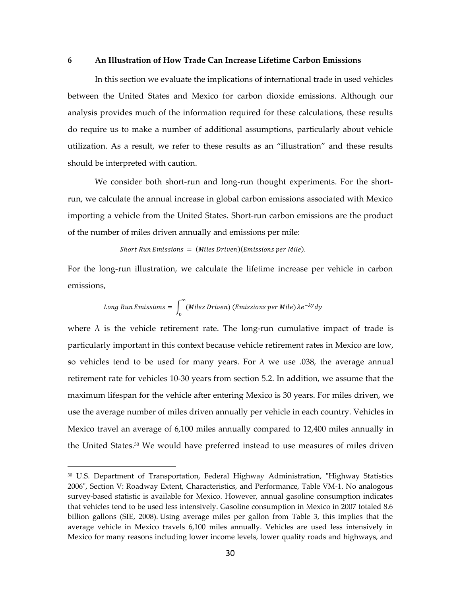#### **6 An Illustration of How Trade Can Increase Lifetime Carbon Emissions**

In this section we evaluate the implications of international trade in used vehicles between the United States and Mexico for carbon dioxide emissions. Although our analysis provides much of the information required for these calculations, these results do require us to make a number of additional assumptions, particularly about vehicle utilization. As a result, we refer to these results as an "illustration" and these results should be interpreted with caution.

We consider both short-run and long-run thought experiments. For the shortrun, we calculate the annual increase in global carbon emissions associated with Mexico importing a vehicle from the United States. Short‐run carbon emissions are the product of the number of miles driven annually and emissions per mile:

## Short Run Emissions =  $(Miles\,Diriven)(Emissions\,per\,Mile).$

For the long-run illustration, we calculate the lifetime increase per vehicle in carbon emissions,

Long Run Emissions = 
$$
\int_0^\infty (Miles\,Driver) (Emissions per Mile)\lambda e^{-\lambda y}dy
$$

where  $\lambda$  is the vehicle retirement rate. The long-run cumulative impact of trade is particularly important in this context because vehicle retirement rates in Mexico are low, so vehicles tend to be used for many years. For  $\lambda$  we use .038, the average annual retirement rate for vehicles 10‐30 years from section 5.2. In addition, we assume that the maximum lifespan for the vehicle after entering Mexico is 30 years. For miles driven, we use the average number of miles driven annually per vehicle in each country. Vehicles in Mexico travel an average of 6,100 miles annually compared to 12,400 miles annually in the United States. $30$  We would have preferred instead to use measures of miles driven

<sup>&</sup>lt;sup>30</sup> U.S. Department of Transportation, Federal Highway Administration, "Highway Statistics 2006ʺ, Section V: Roadway Extent, Characteristics, and Performance, Table VM‐1. No analogous survey-based statistic is available for Mexico. However, annual gasoline consumption indicates that vehicles tend to be used less intensively. Gasoline consumption in Mexico in 2007 totaled 8.6 billion gallons (SIE, 2008). Using average miles per gallon from Table 3, this implies that the average vehicle in Mexico travels 6,100 miles annually. Vehicles are used less intensively in Mexico for many reasons including lower income levels, lower quality roads and highways, and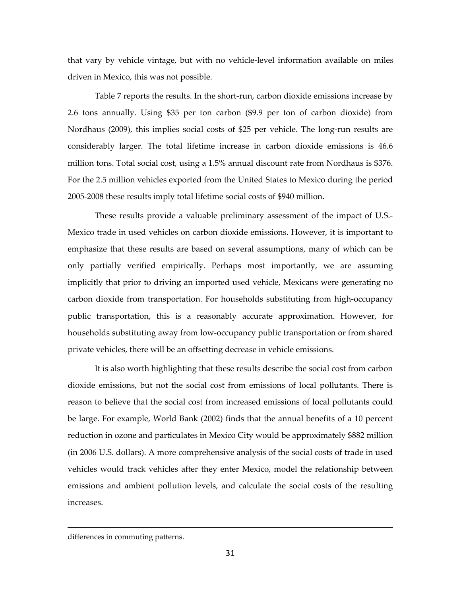that vary by vehicle vintage, but with no vehicle‐level information available on miles driven in Mexico, this was not possible.

Table 7 reports the results. In the short‐run, carbon dioxide emissions increase by 2.6 tons annually. Using \$35 per ton carbon (\$9.9 per ton of carbon dioxide) from Nordhaus (2009), this implies social costs of \$25 per vehicle. The long-run results are considerably larger. The total lifetime increase in carbon dioxide emissions is 46.6 million tons. Total social cost, using a 1.5% annual discount rate from Nordhaus is \$376. For the 2.5 million vehicles exported from the United States to Mexico during the period 2005‐2008 these results imply total lifetime social costs of \$940 million.

These results provide a valuable preliminary assessment of the impact of U.S.‐ Mexico trade in used vehicles on carbon dioxide emissions. However, it is important to emphasize that these results are based on several assumptions, many of which can be only partially verified empirically. Perhaps most importantly, we are assuming implicitly that prior to driving an imported used vehicle, Mexicans were generating no carbon dioxide from transportation. For households substituting from high‐occupancy public transportation, this is a reasonably accurate approximation. However, for households substituting away from low‐occupancy public transportation or from shared private vehicles, there will be an offsetting decrease in vehicle emissions.

It is also worth highlighting that these results describe the social cost from carbon dioxide emissions, but not the social cost from emissions of local pollutants. There is reason to believe that the social cost from increased emissions of local pollutants could be large. For example, World Bank (2002) finds that the annual benefits of a 10 percent reduction in ozone and particulates in Mexico City would be approximately \$882 million (in 2006 U.S. dollars). A more comprehensive analysis of the social costs of trade in used vehicles would track vehicles after they enter Mexico, model the relationship between emissions and ambient pollution levels, and calculate the social costs of the resulting increases.

differences in commuting patterns.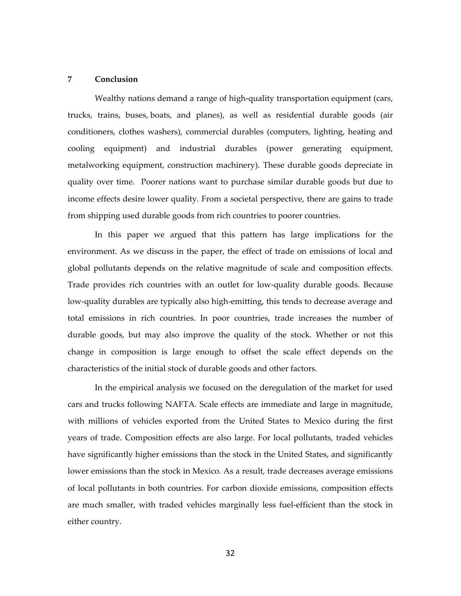## **7 Conclusion**

Wealthy nations demand a range of high-quality transportation equipment (cars, trucks, trains, buses, boats, and planes), as well as residential durable goods (air conditioners, clothes washers), commercial durables (computers, lighting, heating and cooling equipment) and industrial durables (power generating equipment, metalworking equipment, construction machinery). These durable goods depreciate in quality over time. Poorer nations want to purchase similar durable goods but due to income effects desire lower quality. From a societal perspective, there are gains to trade from shipping used durable goods from rich countries to poorer countries.

In this paper we argued that this pattern has large implications for the environment. As we discuss in the paper, the effect of trade on emissions of local and global pollutants depends on the relative magnitude of scale and composition effects. Trade provides rich countries with an outlet for low-quality durable goods. Because low‐quality durables are typically also high‐emitting, this tends to decrease average and total emissions in rich countries. In poor countries, trade increases the number of durable goods, but may also improve the quality of the stock. Whether or not this change in composition is large enough to offset the scale effect depends on the characteristics of the initial stock of durable goods and other factors.

In the empirical analysis we focused on the deregulation of the market for used cars and trucks following NAFTA. Scale effects are immediate and large in magnitude, with millions of vehicles exported from the United States to Mexico during the first years of trade. Composition effects are also large. For local pollutants, traded vehicles have significantly higher emissions than the stock in the United States, and significantly lower emissions than the stock in Mexico. As a result, trade decreases average emissions of local pollutants in both countries. For carbon dioxide emissions, composition effects are much smaller, with traded vehicles marginally less fuel-efficient than the stock in either country.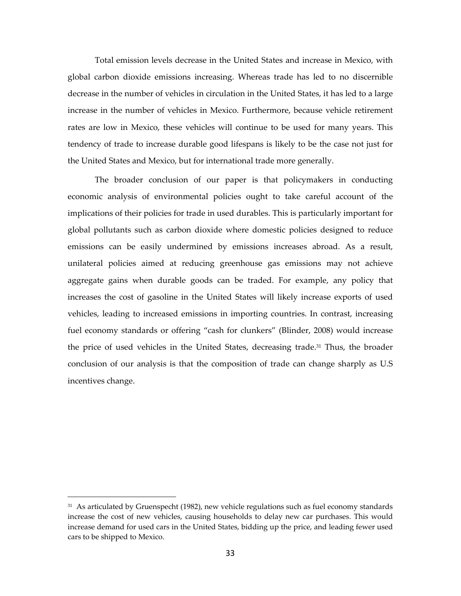Total emission levels decrease in the United States and increase in Mexico, with global carbon dioxide emissions increasing. Whereas trade has led to no discernible decrease in the number of vehicles in circulation in the United States, it has led to a large increase in the number of vehicles in Mexico. Furthermore, because vehicle retirement rates are low in Mexico, these vehicles will continue to be used for many years. This tendency of trade to increase durable good lifespans is likely to be the case not just for the United States and Mexico, but for international trade more generally.

The broader conclusion of our paper is that policymakers in conducting economic analysis of environmental policies ought to take careful account of the implications of their policies for trade in used durables. This is particularly important for global pollutants such as carbon dioxide where domestic policies designed to reduce emissions can be easily undermined by emissions increases abroad. As a result, unilateral policies aimed at reducing greenhouse gas emissions may not achieve aggregate gains when durable goods can be traded. For example, any policy that increases the cost of gasoline in the United States will likely increase exports of used vehicles, leading to increased emissions in importing countries. In contrast, increasing fuel economy standards or offering "cash for clunkers" (Blinder, 2008) would increase the price of used vehicles in the United States, decreasing trade.<sup>31</sup> Thus, the broader conclusion of our analysis is that the composition of trade can change sharply as U.S incentives change.

 $31$  As articulated by Gruenspecht (1982), new vehicle regulations such as fuel economy standards increase the cost of new vehicles, causing households to delay new car purchases. This would increase demand for used cars in the United States, bidding up the price, and leading fewer used cars to be shipped to Mexico.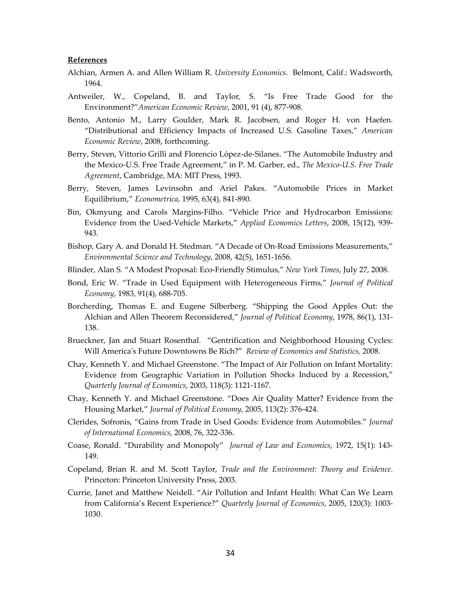#### **References**

- Alchian, Armen A. and Allen William R. *University Economics*. Belmont, Calif.: Wadsworth, 1964.
- Antweiler, W., Copeland, B. and Taylor, S. "Is Free Trade Good for the Environment?"*American Economic Review*, 2001, 91 (4), 877‐908.
- Bento, Antonio M., Larry Goulder, Mark R. Jacobsen, and Roger H. von Haefen. "Distributional and Efficiency Impacts of Increased U.S. Gasoline Taxes," *American Economic Review*, 2008, forthcoming.
- Berry, Steven, Vittorio Grilli and Florencio López‐de‐Silanes. "The Automobile Industry and the Mexico‐U.S. Free Trade Agreement," in P. M. Garber, ed., *The Mexico‐U.S. Free Trade Agreement*, Cambridge, MA: MIT Press, 1993.
- Berry, Steven, James Levinsohn and Ariel Pakes. "Automobile Prices in Market Equilibrium," *Econometrica*, 1995, 63(4), 841‐890.
- Bin, Okmyung and Carols Margins‐Filho. "Vehicle Price and Hydrocarbon Emissions: Evidence from the Used‐Vehicle Markets," *Applied Economics Letters*, 2008, 15(12), 939‐ 943.
- Bishop, Gary A. and Donald H. Stedman. "A Decade of On‐Road Emissions Measurements," *Environmental Science and Technology*, 2008, 42(5), 1651‐1656.
- Blinder, Alan S. "A Modest Proposal: Eco‐Friendly Stimulus," *New York Times*, July 27, 2008.
- Bond, Eric W. "Trade in Used Equipment with Heterogeneous Firms," *Journal of Political Economy*, 1983, 91(4), 688‐705.
- Borcherding, Thomas E. and Eugene Silberberg. "Shipping the Good Apples Out: the Alchian and Allen Theorem Reconsidered," *Journal of Political Economy*, 1978, 86(1), 131‐ 138.
- Brueckner, Jan and Stuart Rosenthal. "Gentrification and Neighborhood Housing Cycles: Will Americaʹs Future Downtowns Be Rich?" *Review of Economics and Statistics,* 2008.
- Chay, Kenneth Y. and Michael Greenstone. "The Impact of Air Pollution on Infant Mortality: Evidence from Geographic Variation in Pollution Shocks Induced by a Recession," *Quarterly Journal of Economics*, 2003, 118(3): 1121‐1167.
- Chay, Kenneth Y. and Michael Greenstone. "Does Air Quality Matter? Evidence from the Housing Market," *Journal of Political Economy*, 2005, 113(2): 376‐424.
- Clerides, Sofronis, "Gains from Trade in Used Goods: Evidence from Automobiles." *Journal of International Economics*, 2008, 76, 322‐336.
- Coase, Ronald. "Durability and Monopoly" *Journal of Law and Economics*, 1972, 15(1): 143‐ 149.
- Copeland, Brian R. and M. Scott Taylor, *Trade and the Environment: Theory and Evidence*. Princeton: Princeton University Press, 2003.
- Currie, Janet and Matthew Neidell. "Air Pollution and Infant Health: What Can We Learn from California's Recent Experience?" *Quarterly Journal of Economics*, 2005, 120(3): 1003‐ 1030.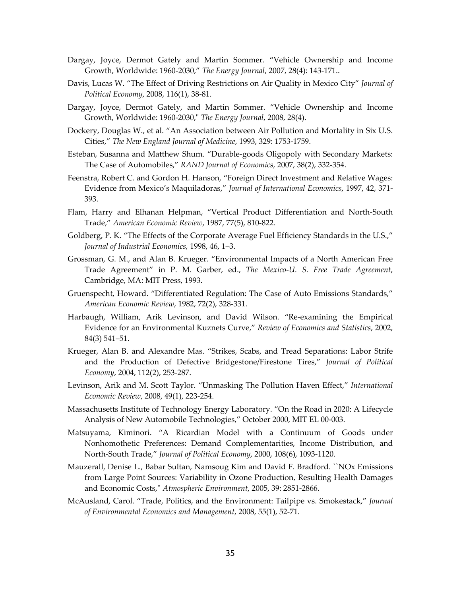- Dargay, Joyce, Dermot Gately and Martin Sommer. "Vehicle Ownership and Income Growth, Worldwide: 1960‐2030," *The Energy Journal*, 2007, 28(4): 143‐171..
- Davis, Lucas W. "The Effect of Driving Restrictions on Air Quality in Mexico City" *Journal of Political Economy*, 2008, 116(1), 38‐81.
- Dargay, Joyce, Dermot Gately, and Martin Sommer. "Vehicle Ownership and Income Growth, Worldwide: 1960‐2030,ʺ *The Energy Journal*, 2008, 28(4).
- Dockery, Douglas W., et al. "An Association between Air Pollution and Mortality in Six U.S. Cities," *The New England Journal of Medicine*, 1993, 329: 1753‐1759.
- Esteban, Susanna and Matthew Shum. "Durable‐goods Oligopoly with Secondary Markets: The Case of Automobiles," *RAND Journal of Economics*, 2007, 38(2), 332‐354.
- Feenstra, Robert C. and Gordon H. Hanson, "Foreign Direct Investment and Relative Wages: Evidence from Mexico's Maquiladoras," *Journal of International Economics*, 1997, 42, 371‐ 393.
- Flam, Harry and Elhanan Helpman, "Vertical Product Differentiation and North‐South Trade," *American Economic Review*, 1987, 77(5), 810‐822.
- Goldberg, P. K. "The Effects of the Corporate Average Fuel Efficiency Standards in the U.S.," *Journal of Industrial Economics,* 1998, 46, 1–3.
- Grossman, G. M., and Alan B. Krueger. "Environmental Impacts of a North American Free Trade Agreement" in P. M. Garber, ed., *The Mexico‐U. S. Free Trade Agreement*, Cambridge, MA: MIT Press, 1993.
- Gruenspecht, Howard. "Differentiated Regulation: The Case of Auto Emissions Standards," *American Economic Review*, 1982, 72(2), 328‐331.
- Harbaugh, William, Arik Levinson, and David Wilson. "Re‐examining the Empirical Evidence for an Environmental Kuznets Curve," *Review of Economics and Statistics*, 2002, 84(3) 541–51.
- Krueger, Alan B. and Alexandre Mas. "Strikes, Scabs, and Tread Separations: Labor Strife and the Production of Defective Bridgestone/Firestone Tires," *Journal of Political Economy*, 2004, 112(2), 253‐287.
- Levinson, Arik and M. Scott Taylor. "Unmasking The Pollution Haven Effect," *International Economic Review*, 2008, 49(1), 223‐254.
- Massachusetts Institute of Technology Energy Laboratory. "On the Road in 2020: A Lifecycle Analysis of New Automobile Technologies," October 2000, MIT EL 00‐003.
- Matsuyama, Kiminori. "A Ricardian Model with a Continuum of Goods under Nonhomothetic Preferences: Demand Complementarities, Income Distribution, and North‐South Trade," *Journal of Political Economy*, 2000, 108(6), 1093‐1120.
- Mauzerall, Denise L., Babar Sultan, Namsoug Kim and David F. Bradford. ``NOx Emissions from Large Point Sources: Variability in Ozone Production, Resulting Health Damages and Economic Costs,ʹʹ *Atmospheric Environment*, 2005, 39: 2851‐2866.
- McAusland, Carol. "Trade, Politics, and the Environment: Tailpipe vs. Smokestack," *Journal of Environmental Economics and Management*, 2008, 55(1), 52‐71.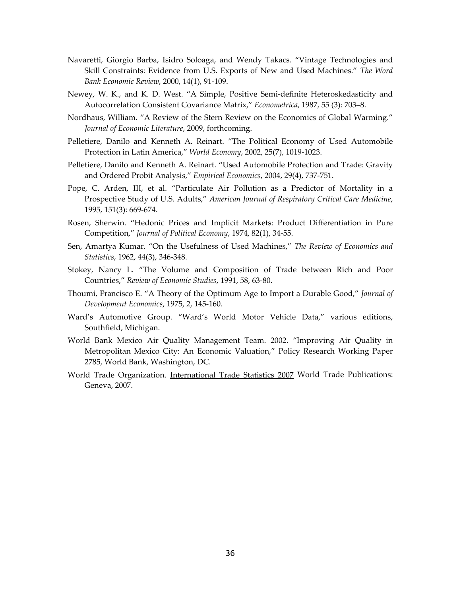- Navaretti, Giorgio Barba, Isidro Soloaga, and Wendy Takacs. "Vintage Technologies and Skill Constraints: Evidence from U.S. Exports of New and Used Machines." *The Word Bank Economic Review*, 2000, 14(1), 91‐109.
- Newey, W. K., and K. D. West. "A Simple, Positive Semi-definite Heteroskedasticity and Autocorrelation Consistent Covariance Matrix," *Econometrica*, 1987, 55 (3): 703–8.
- Nordhaus, William. "A Review of the Stern Review on the Economics of Global Warming." *Journal of Economic Literature*, 2009, forthcoming.
- Pelletiere, Danilo and Kenneth A. Reinart. "The Political Economy of Used Automobile Protection in Latin America," *World Economy*, 2002, 25(7), 1019‐1023.
- Pelletiere, Danilo and Kenneth A. Reinart. "Used Automobile Protection and Trade: Gravity and Ordered Probit Analysis," *Empirical Economics*, 2004, 29(4), 737‐751.
- Pope, C. Arden, III, et al. "Particulate Air Pollution as a Predictor of Mortality in a Prospective Study of U.S. Adults," *American Journal of Respiratory Critical Care Medicine*, 1995, 151(3): 669‐674.
- Rosen, Sherwin. "Hedonic Prices and Implicit Markets: Product Differentiation in Pure Competition," *Journal of Political Economy*, 1974, 82(1), 34‐55.
- Sen, Amartya Kumar. "On the Usefulness of Used Machines," *The Review of Economics and Statistics*, 1962, 44(3), 346‐348.
- Stokey, Nancy L. "The Volume and Composition of Trade between Rich and Poor Countries," *Review of Economic Studies*, 1991, 58, 63‐80.
- Thoumi, Francisco E. "A Theory of the Optimum Age to Import a Durable Good," *Journal of Development Economics*, 1975, 2, 145‐160.
- Ward's Automotive Group. "Ward's World Motor Vehicle Data," various editions, Southfield, Michigan.
- World Bank Mexico Air Quality Management Team. 2002. "Improving Air Quality in Metropolitan Mexico City: An Economic Valuation," Policy Research Working Paper 2785, World Bank, Washington, DC.
- World Trade Organization. International Trade Statistics 2007 World Trade Publications: Geneva, 2007.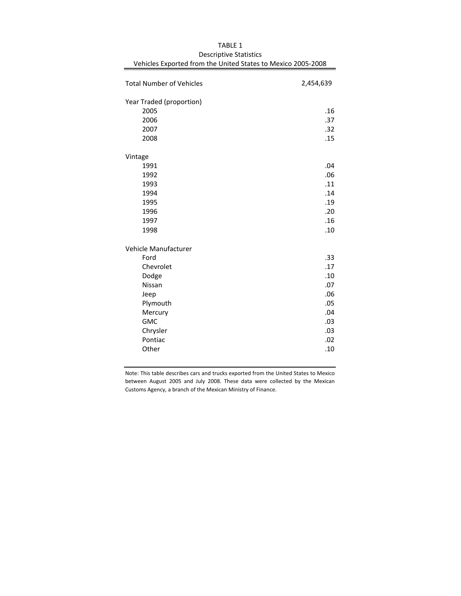| <b>Total Number of Vehicles</b> | 2,454,639 |
|---------------------------------|-----------|
| Year Traded (proportion)        |           |
| 2005                            | .16       |
| 2006                            | .37       |
| 2007                            | .32       |
| 2008                            | .15       |
| Vintage                         |           |
| 1991                            | .04       |
| 1992                            | .06       |
| 1993                            | .11       |
| 1994                            | .14       |
| 1995                            | .19       |
| 1996                            | .20       |
| 1997                            | .16       |
| 1998                            | .10       |
| Vehicle Manufacturer            |           |
| Ford                            | .33       |
| Chevrolet                       | .17       |
| Dodge                           | .10       |
| Nissan                          | .07       |
| Jeep                            | .06       |
| Plymouth                        | .05       |
| Mercury                         | .04       |
| <b>GMC</b>                      | .03       |
| Chrysler                        | .03       |
| Pontiac                         | .02       |
| Other                           | .10       |

TABLE 1 Vehicles Exported from the United States to Mexico 2005‐2008 Descriptive Statistics

Note: This table describes cars and trucks exported from the United States to Mexico between August 2005 and July 2008. These data were collected by the Mexican Customs Agency, a branch of the Mexican Ministry of Finance.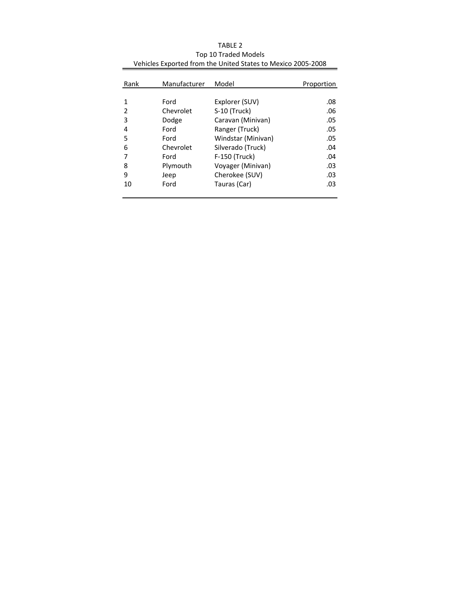|           |                    | Proportion |
|-----------|--------------------|------------|
|           |                    |            |
| Ford      | Explorer (SUV)     | .08        |
| Chevrolet | S-10 (Truck)       | .06        |
| Dodge     | Caravan (Minivan)  | .05        |
| Ford      | Ranger (Truck)     | .05        |
| Ford      | Windstar (Minivan) | .05        |
| Chevrolet | Silverado (Truck)  | .04        |
| Ford      | F-150 (Truck)      | .04        |
| Plymouth  | Voyager (Minivan)  | .03        |
| Jeep      | Cherokee (SUV)     | .03        |
| Ford      | Tauras (Car)       | .03        |
|           | Manufacturer       | Model      |

Vehicles Exported from the United States to Mexico 2005‐2008 TABLE 2 Top 10 Traded Models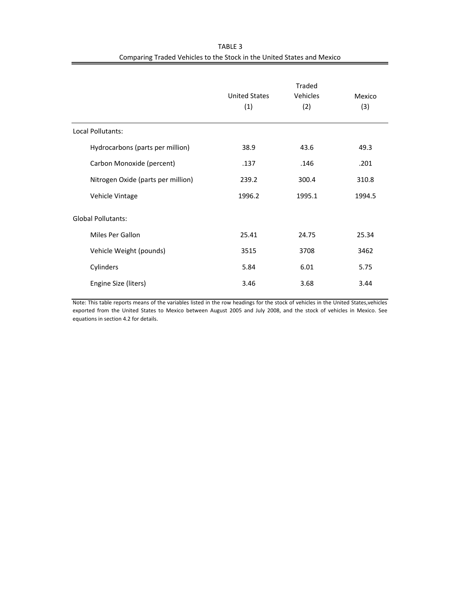|                                    | Traded               |          |        |  |
|------------------------------------|----------------------|----------|--------|--|
|                                    | <b>United States</b> | Vehicles | Mexico |  |
|                                    | (1)                  | (2)      | (3)    |  |
|                                    |                      |          |        |  |
| <b>Local Pollutants:</b>           |                      |          |        |  |
| Hydrocarbons (parts per million)   | 38.9                 | 43.6     | 49.3   |  |
| Carbon Monoxide (percent)          | .137                 | .146     | .201   |  |
| Nitrogen Oxide (parts per million) | 239.2                | 300.4    | 310.8  |  |
| Vehicle Vintage                    | 1996.2               | 1995.1   | 1994.5 |  |
| <b>Global Pollutants:</b>          |                      |          |        |  |
|                                    |                      |          |        |  |
| Miles Per Gallon                   | 25.41                | 24.75    | 25.34  |  |
| Vehicle Weight (pounds)            | 3515                 | 3708     | 3462   |  |
| Cylinders                          | 5.84                 | 6.01     | 5.75   |  |
| Engine Size (liters)               | 3.46                 | 3.68     | 3.44   |  |

TABLE 3 Comparing Traded Vehicles to the Stock in the United States and Mexico

Note: This table reports means of the variables listed in the row headings for the stock of vehicles in the United States,vehicles exported from the United States to Mexico between August 2005 and July 2008, and the stock of vehicles in Mexico. See equations in section 4.2 for details.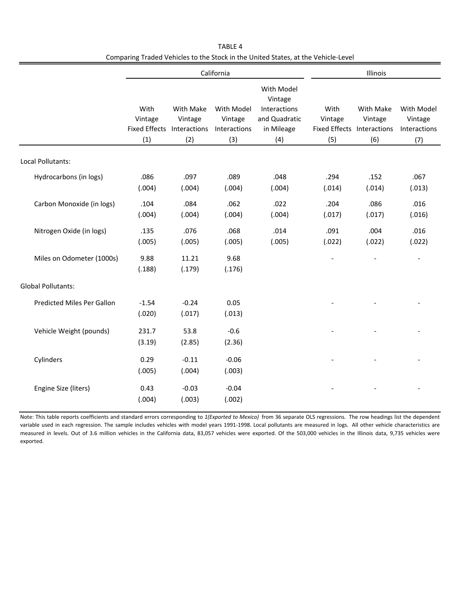|                            | California                                                  |                             |                                              |                                                                             | Illinois                                             |                             |                                              |
|----------------------------|-------------------------------------------------------------|-----------------------------|----------------------------------------------|-----------------------------------------------------------------------------|------------------------------------------------------|-----------------------------|----------------------------------------------|
|                            | With<br>Vintage<br><b>Fixed Effects Interactions</b><br>(1) | With Make<br>Vintage<br>(2) | With Model<br>Vintage<br>Interactions<br>(3) | With Model<br>Vintage<br>Interactions<br>and Quadratic<br>in Mileage<br>(4) | With<br>Vintage<br>Fixed Effects Interactions<br>(5) | With Make<br>Vintage<br>(6) | With Model<br>Vintage<br>Interactions<br>(7) |
| Local Pollutants:          |                                                             |                             |                                              |                                                                             |                                                      |                             |                                              |
| Hydrocarbons (in logs)     | .086<br>(.004)                                              | .097<br>(.004)              | .089<br>(.004)                               | .048<br>(.004)                                                              | .294<br>(.014)                                       | .152<br>(.014)              | .067<br>(.013)                               |
| Carbon Monoxide (in logs)  | .104<br>(.004)                                              | .084<br>(.004)              | .062<br>(.004)                               | .022<br>(.004)                                                              | .204<br>(.017)                                       | .086<br>(.017)              | .016<br>(.016)                               |
| Nitrogen Oxide (in logs)   | .135<br>(.005)                                              | .076<br>(.005)              | .068<br>(.005)                               | .014<br>(.005)                                                              | .091<br>(.022)                                       | .004<br>(.022)              | .016<br>(.022)                               |
| Miles on Odometer (1000s)  | 9.88<br>(.188)                                              | 11.21<br>(.179)             | 9.68<br>(.176)                               |                                                                             | $\overline{\phantom{a}}$                             |                             | $\overline{\phantom{a}}$                     |
| <b>Global Pollutants:</b>  |                                                             |                             |                                              |                                                                             |                                                      |                             |                                              |
| Predicted Miles Per Gallon | $-1.54$<br>(.020)                                           | $-0.24$<br>(.017)           | 0.05<br>(.013)                               |                                                                             |                                                      |                             |                                              |
| Vehicle Weight (pounds)    | 231.7<br>(3.19)                                             | 53.8<br>(2.85)              | $-0.6$<br>(2.36)                             |                                                                             |                                                      |                             |                                              |
| Cylinders                  | 0.29<br>(.005)                                              | $-0.11$<br>(.004)           | $-0.06$<br>(.003)                            |                                                                             |                                                      |                             |                                              |
| Engine Size (liters)       | 0.43<br>(.004)                                              | $-0.03$<br>(.003)           | $-0.04$<br>(.002)                            |                                                                             |                                                      |                             |                                              |

TABLE 4 Comparing Traded Vehicles to the Stock in the United States, at the Vehicle‐Level

Note: This table reports coefficients and standard errors corresponding to *1(Exported to Mexico)* from 36 separate OLS regressions. The row headings list the dependent variable used in each regression. The sample includes vehicles with model years 1991-1998. Local pollutants are measured in logs. All other vehicle characteristics are measured in levels. Out of 3.6 million vehicles in the California data, 83,057 vehicles were exported. Of the 503,000 vehicles in the Illinois data, 9,735 vehicles were exported.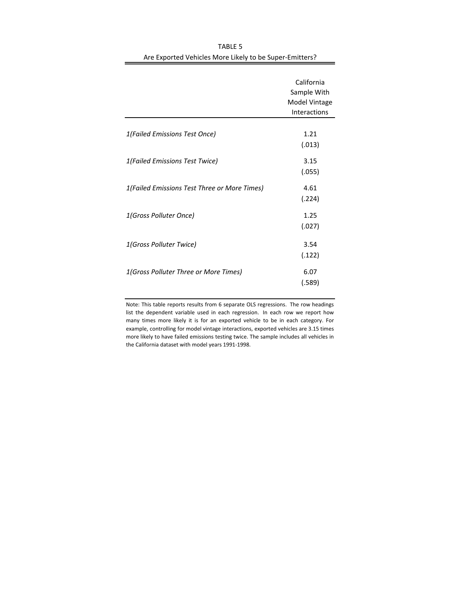|                                              | California<br>Sample With<br>Model Vintage<br><b>Interactions</b> |
|----------------------------------------------|-------------------------------------------------------------------|
| 1(Failed Emissions Test Once)                | 1.21<br>(.013)                                                    |
| 1(Failed Emissions Test Twice)               | 3.15<br>(.055)                                                    |
| 1(Failed Emissions Test Three or More Times) | 4.61<br>(.224)                                                    |
| 1(Gross Polluter Once)                       | 1.25<br>(.027)                                                    |
| 1(Gross Polluter Twice)                      | 3.54<br>(.122)                                                    |
| 1(Gross Polluter Three or More Times)        | 6.07<br>(.589)                                                    |

TABLE 5 Are Exported Vehicles More Likely to be Super‐Emitters?

Note: This table reports results from 6 separate OLS regressions. The row headings list the dependent variable used in each regression. In each row we report how many times more likely it is for an exported vehicle to be in each category. For example, controlling for model vintage interactions, exported vehicles are 3.15 times more likely to have failed emissions testing twice. The sample includes all vehicles in the California dataset with model years 1991‐1998.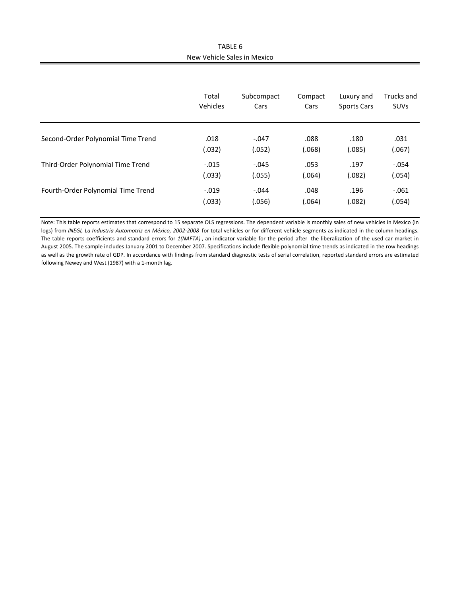TABLE 6 New Vehicle Sales in Mexico

|                                    | Total    | Subcompact | Compact | Luxury and         | Trucks and  |
|------------------------------------|----------|------------|---------|--------------------|-------------|
|                                    | Vehicles | Cars       | Cars    | <b>Sports Cars</b> | <b>SUVs</b> |
| Second-Order Polynomial Time Trend | .018     | $-.047$    | .088    | .180               | .031        |
|                                    | (.032)   | (.052)     | (.068)  | (.085)             | (.067)      |
| Third-Order Polynomial Time Trend  | $-.015$  | $-.045$    | .053    | .197               | $-.054$     |
|                                    | (.033)   | (.055)     | (.064)  | (.082)             | (.054)      |
| Fourth-Order Polynomial Time Trend | $-.019$  | $-.044$    | .048    | .196               | $-.061$     |
|                                    | (.033)   | (.056)     | (.064)  | (.082)             | (.054)      |

Note: This table reports estimates that correspond to 15 separate OLS regressions. The dependent variable is monthly sales of new vehicles in Mexico (in logs) from *INEGI, La Industria Automotriz en México, 2002-2008* for total vehicles or for different vehicle segments as indicated in the column headings. The table reports coefficients and standard errors for *1(NAFTA)* , an indicator variable for the period after the liberalization of the used car market in August 2005. The sample includes January 2001 to December 2007. Specifications include flexible polynomial time trends as indicated in the row headings as well as the growth rate of GDP. In accordance with findings from standard diagnostic tests of serial correlation, reported standard errors are estimated following Newey and West (1987) with a 1‐month lag.